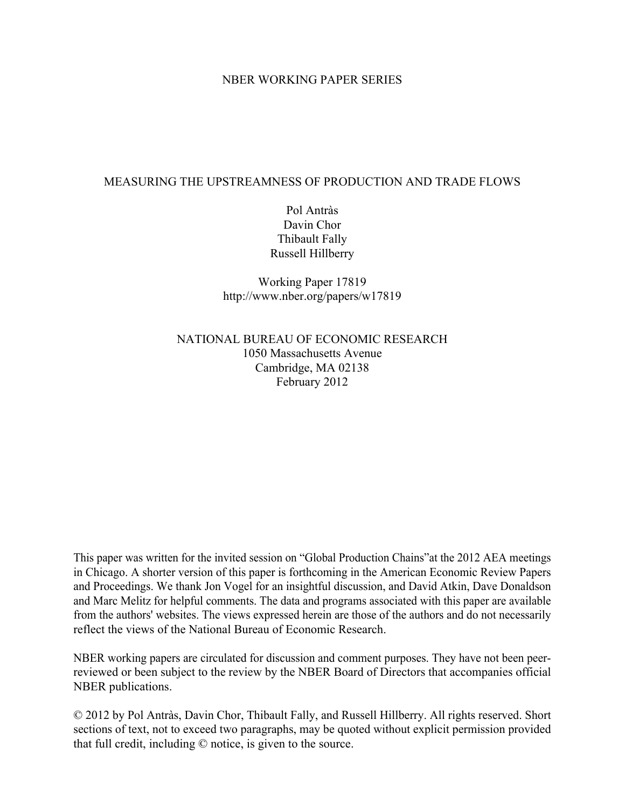#### NBER WORKING PAPER SERIES

### MEASURING THE UPSTREAMNESS OF PRODUCTION AND TRADE FLOWS

Pol Antràs Davin Chor Thibault Fally Russell Hillberry

Working Paper 17819 http://www.nber.org/papers/w17819

NATIONAL BUREAU OF ECONOMIC RESEARCH 1050 Massachusetts Avenue Cambridge, MA 02138 February 2012

This paper was written for the invited session on "Global Production Chains"at the 2012 AEA meetings in Chicago. A shorter version of this paper is forthcoming in the American Economic Review Papers and Proceedings. We thank Jon Vogel for an insightful discussion, and David Atkin, Dave Donaldson and Marc Melitz for helpful comments. The data and programs associated with this paper are available from the authors' websites. The views expressed herein are those of the authors and do not necessarily reflect the views of the National Bureau of Economic Research.

NBER working papers are circulated for discussion and comment purposes. They have not been peerreviewed or been subject to the review by the NBER Board of Directors that accompanies official NBER publications.

© 2012 by Pol Antràs, Davin Chor, Thibault Fally, and Russell Hillberry. All rights reserved. Short sections of text, not to exceed two paragraphs, may be quoted without explicit permission provided that full credit, including © notice, is given to the source.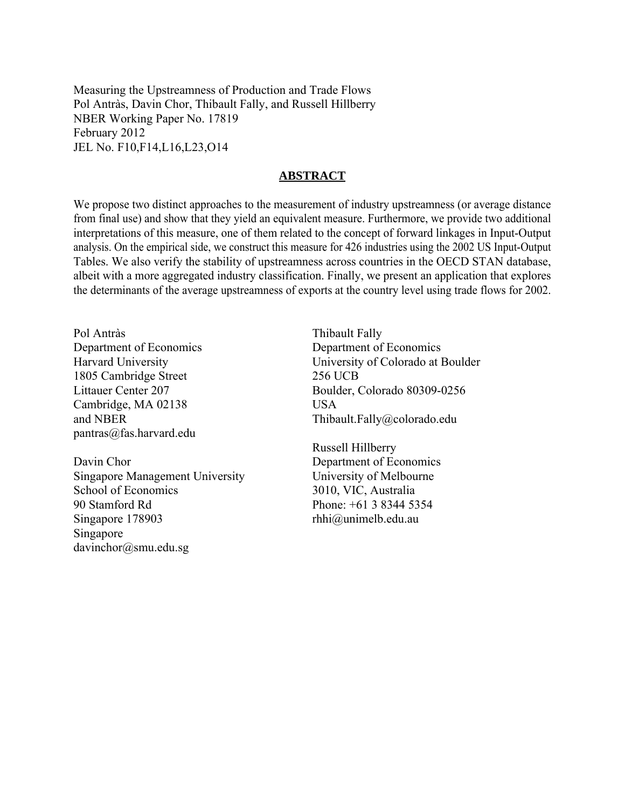Measuring the Upstreamness of Production and Trade Flows Pol Antràs, Davin Chor, Thibault Fally, and Russell Hillberry NBER Working Paper No. 17819 February 2012 JEL No. F10,F14,L16,L23,O14

#### **ABSTRACT**

We propose two distinct approaches to the measurement of industry upstreamness (or average distance from final use) and show that they yield an equivalent measure. Furthermore, we provide two additional interpretations of this measure, one of them related to the concept of forward linkages in Input-Output analysis. On the empirical side, we construct this measure for 426 industries using the 2002 US Input-Output Tables. We also verify the stability of upstreamness across countries in the OECD STAN database, albeit with a more aggregated industry classification. Finally, we present an application that explores the determinants of the average upstreamness of exports at the country level using trade flows for 2002.

Pol Antràs Department of Economics Harvard University 1805 Cambridge Street Littauer Center 207 Cambridge, MA 02138 and NBER pantras@fas.harvard.edu

Davin Chor Singapore Management University School of Economics 90 Stamford Rd Singapore 178903 Singapore davinchor@smu.edu.sg

Thibault Fally Department of Economics University of Colorado at Boulder 256 UCB Boulder, Colorado 80309-0256 USA Thibault.Fally@colorado.edu

Russell Hillberry Department of Economics University of Melbourne 3010, VIC, Australia Phone: +61 3 8344 5354 rhhi@unimelb.edu.au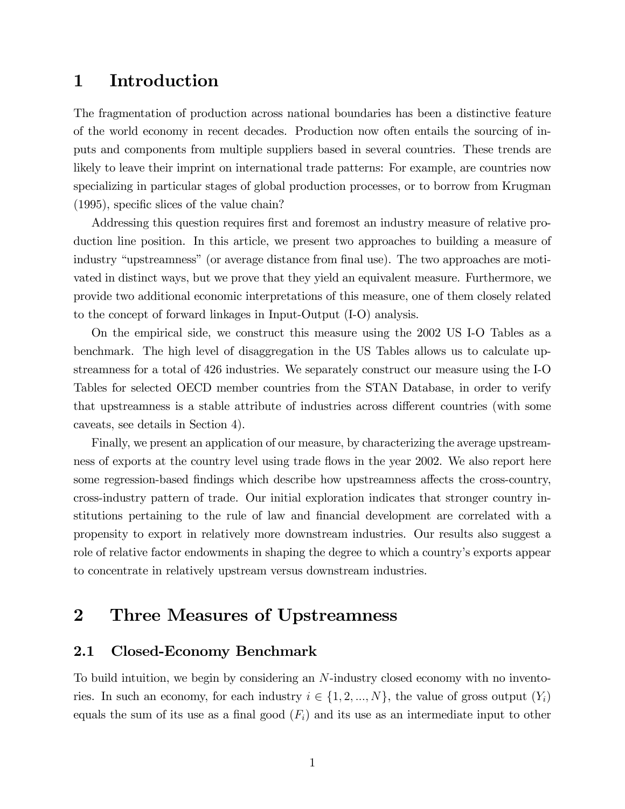## 1 Introduction

The fragmentation of production across national boundaries has been a distinctive feature of the world economy in recent decades. Production now often entails the sourcing of inputs and components from multiple suppliers based in several countries. These trends are likely to leave their imprint on international trade patterns: For example, are countries now specializing in particular stages of global production processes, or to borrow from Krugman  $(1995)$ , specific slices of the value chain?

Addressing this question requires first and foremost an industry measure of relative production line position. In this article, we present two approaches to building a measure of industry "upstreamness" (or average distance from final use). The two approaches are motivated in distinct ways, but we prove that they yield an equivalent measure. Furthermore, we provide two additional economic interpretations of this measure, one of them closely related to the concept of forward linkages in Input-Output (I-O) analysis.

On the empirical side, we construct this measure using the 2002 US I-O Tables as a benchmark. The high level of disaggregation in the US Tables allows us to calculate upstreamness for a total of 426 industries. We separately construct our measure using the I-O Tables for selected OECD member countries from the STAN Database, in order to verify that upstreamness is a stable attribute of industries across different countries (with some caveats, see details in Section 4).

Finally, we present an application of our measure, by characterizing the average upstreamness of exports at the country level using trade áows in the year 2002. We also report here some regression-based findings which describe how upstreamness affects the cross-country, cross-industry pattern of trade. Our initial exploration indicates that stronger country institutions pertaining to the rule of law and financial development are correlated with a propensity to export in relatively more downstream industries. Our results also suggest a role of relative factor endowments in shaping the degree to which a country's exports appear to concentrate in relatively upstream versus downstream industries.

# 2 Three Measures of Upstreamness

### 2.1 Closed-Economy Benchmark

To build intuition, we begin by considering an N-industry closed economy with no inventories. In such an economy, for each industry  $i \in \{1, 2, ..., N\}$ , the value of gross output  $(Y_i)$ equals the sum of its use as a final good  $(F_i)$  and its use as an intermediate input to other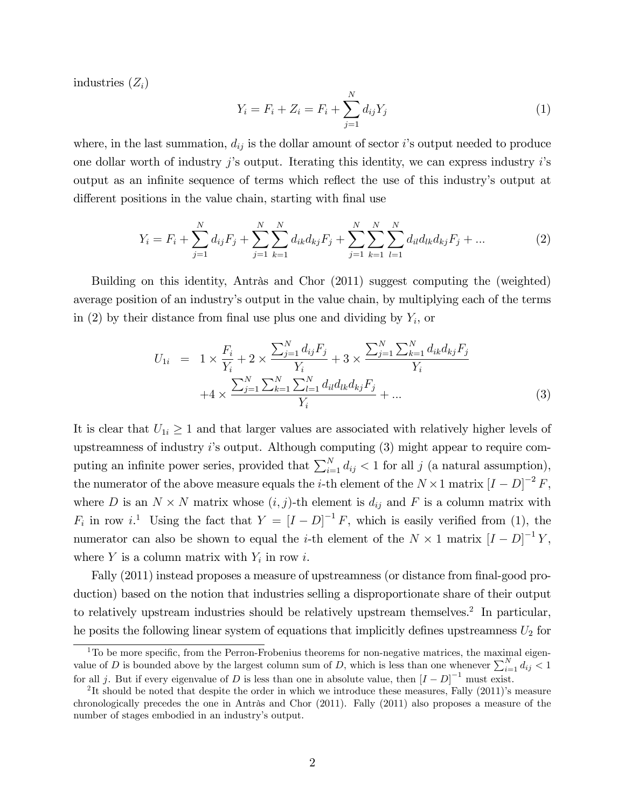industries  $(Z_i)$ 

$$
Y_i = F_i + Z_i = F_i + \sum_{j=1}^{N} d_{ij} Y_j
$$
\n(1)

where, in the last summation,  $d_{ij}$  is the dollar amount of sector i's output needed to produce one dollar worth of industry  $j$ 's output. Iterating this identity, we can express industry  $i$ 's output as an infinite sequence of terms which reflect the use of this industry's output at different positions in the value chain, starting with final use

$$
Y_i = F_i + \sum_{j=1}^{N} d_{ij} F_j + \sum_{j=1}^{N} \sum_{k=1}^{N} d_{ik} d_{kj} F_j + \sum_{j=1}^{N} \sum_{k=1}^{N} \sum_{l=1}^{N} d_{il} d_{lk} d_{kj} F_j + \dots
$$
 (2)

Building on this identity, Antràs and Chor (2011) suggest computing the (weighted) average position of an industryís output in the value chain, by multiplying each of the terms in (2) by their distance from final use plus one and dividing by  $Y_i$ , or

$$
U_{1i} = 1 \times \frac{F_i}{Y_i} + 2 \times \frac{\sum_{j=1}^{N} d_{ij} F_j}{Y_i} + 3 \times \frac{\sum_{j=1}^{N} \sum_{k=1}^{N} d_{ik} d_{kj} F_j}{Y_i} + 4 \times \frac{\sum_{j=1}^{N} \sum_{k=1}^{N} \sum_{l=1}^{N} d_{il} d_{lk} d_{kj} F_j}{Y_i} + \dots
$$
\n(3)

It is clear that  $U_{1i} \geq 1$  and that larger values are associated with relatively higher levels of upstreamness of industry  $i$ 's output. Although computing  $(3)$  might appear to require computing an infinite power series, provided that  $\sum_{i=1}^{N} d_{ij} < 1$  for all j (a natural assumption), the numerator of the above measure equals the *i*-th element of the  $N \times 1$  matrix  $[I - D]^{-2} F$ , where D is an  $N \times N$  matrix whose  $(i, j)$ -th element is  $d_{ij}$  and F is a column matrix with  $F_i$  in row i.<sup>1</sup> Using the fact that  $Y = [I-D]^{-1}F$ , which is easily verified from (1), the numerator can also be shown to equal the *i*-th element of the  $N \times 1$  matrix  $[I - D]^{-1}Y$ , where  $Y$  is a column matrix with  $Y_i$  in row i.

Fally (2011) instead proposes a measure of upstreamness (or distance from final-good production) based on the notion that industries selling a disproportionate share of their output to relatively upstream industries should be relatively upstream themselves.<sup>2</sup> In particular, he posits the following linear system of equations that implicitly defines upstreamness  $U_2$  for

 $1\text{To be more specific, from the Perron-Frobenius theorems for non-negative matrices, the maximal eigen$ value of D is bounded above by the largest column sum of D, which is less than one whenever  $\sum_{i=1}^{N} d_{ij} < 1$ for all j. But if every eigenvalue of D is less than one in absolute value, then  $[I - D]^{-1}$  must exist.

<sup>&</sup>lt;sup>2</sup>It should be noted that despite the order in which we introduce these measures, Fally  $(2011)$ 's measure chronologically precedes the one in Antrås and Chor  $(2011)$ . Fally  $(2011)$  also proposes a measure of the number of stages embodied in an industry's output.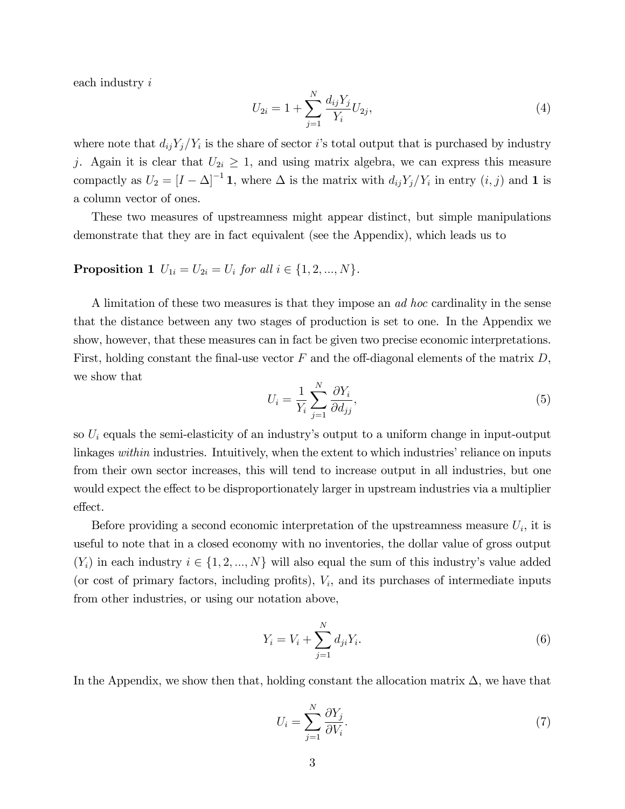each industry i

$$
U_{2i} = 1 + \sum_{j=1}^{N} \frac{d_{ij} Y_j}{Y_i} U_{2j},\tag{4}
$$

where note that  $d_{ij}Y_j/Y_i$  is the share of sector is total output that is purchased by industry j. Again it is clear that  $U_{2i} \geq 1$ , and using matrix algebra, we can express this measure compactly as  $U_2 = [I - \Delta]^{-1} \mathbf{1}$ , where  $\Delta$  is the matrix with  $d_{ij}Y_j/Y_i$  in entry  $(i, j)$  and  $\mathbf{1}$  is a column vector of ones.

These two measures of upstreamness might appear distinct, but simple manipulations demonstrate that they are in fact equivalent (see the Appendix), which leads us to

### **Proposition 1**  $U_{1i} = U_{2i} = U_i$  for all  $i \in \{1, 2, ..., N\}$ .

A limitation of these two measures is that they impose an *ad hoc* cardinality in the sense that the distance between any two stages of production is set to one. In the Appendix we show, however, that these measures can in fact be given two precise economic interpretations. First, holding constant the final-use vector  $F$  and the off-diagonal elements of the matrix  $D$ , we show that

$$
U_i = \frac{1}{Y_i} \sum_{j=1}^{N} \frac{\partial Y_i}{\partial d_{jj}},\tag{5}
$$

so  $U_i$  equals the semi-elasticity of an industry's output to a uniform change in input-output linkages within industries. Intuitively, when the extent to which industries' reliance on inputs from their own sector increases, this will tend to increase output in all industries, but one would expect the effect to be disproportionately larger in upstream industries via a multiplier effect.

Before providing a second economic interpretation of the upstreamness measure  $U_i$ , it is useful to note that in a closed economy with no inventories, the dollar value of gross output  $(Y_i)$  in each industry  $i \in \{1, 2, ..., N\}$  will also equal the sum of this industry's value added (or cost of primary factors, including profits),  $V_i$ , and its purchases of intermediate inputs from other industries, or using our notation above,

$$
Y_i = V_i + \sum_{j=1}^{N} d_{ji} Y_i.
$$
 (6)

In the Appendix, we show then that, holding constant the allocation matrix  $\Delta$ , we have that

$$
U_i = \sum_{j=1}^{N} \frac{\partial Y_j}{\partial V_i}.
$$
\n<sup>(7)</sup>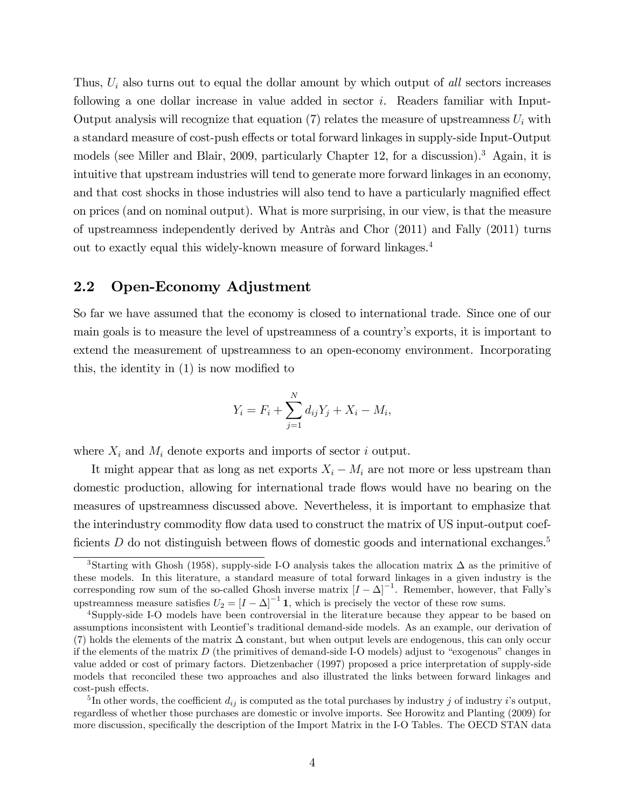Thus,  $U_i$  also turns out to equal the dollar amount by which output of all sectors increases following a one dollar increase in value added in sector i. Readers familiar with Input-Output analysis will recognize that equation (7) relates the measure of upstreamness  $U_i$  with a standard measure of cost-push effects or total forward linkages in supply-side Input-Output models (see Miller and Blair, 2009, particularly Chapter 12, for a discussion).<sup>3</sup> Again, it is intuitive that upstream industries will tend to generate more forward linkages in an economy, and that cost shocks in those industries will also tend to have a particularly magnified effect on prices (and on nominal output). What is more surprising, in our view, is that the measure of upstreamness independently derived by Antràs and Chor  $(2011)$  and Fally  $(2011)$  turns out to exactly equal this widely-known measure of forward linkages.<sup>4</sup>

### 2.2 Open-Economy Adjustment

So far we have assumed that the economy is closed to international trade. Since one of our main goals is to measure the level of upstreamness of a countryís exports, it is important to extend the measurement of upstreamness to an open-economy environment. Incorporating this, the identity in  $(1)$  is now modified to

$$
Y_i = F_i + \sum_{j=1}^{N} d_{ij} Y_j + X_i - M_i,
$$

where  $X_i$  and  $M_i$  denote exports and imports of sector i output.

It might appear that as long as net exports  $X_i - M_i$  are not more or less upstream than domestic production, allowing for international trade áows would have no bearing on the measures of upstreamness discussed above. Nevertheless, it is important to emphasize that the interindustry commodity flow data used to construct the matrix of US input-output coefficients  $D$  do not distinguish between flows of domestic goods and international exchanges.<sup>5</sup>

<sup>&</sup>lt;sup>3</sup>Starting with Ghosh (1958), supply-side I-O analysis takes the allocation matrix  $\Delta$  as the primitive of these models. In this literature, a standard measure of total forward linkages in a given industry is the corresponding row sum of the so-called Ghosh inverse matrix  $[I - \Delta]^{-1}$ . Remember, however, that Fally's upstreamness measure satisfies  $U_2 = [I - \Delta]^{-1} \mathbf{1}$ , which is precisely the vector of these row sums.

<sup>4</sup>Supply-side I-O models have been controversial in the literature because they appear to be based on assumptions inconsistent with Leontiefís traditional demand-side models. As an example, our derivation of (7) holds the elements of the matrix  $\Delta$  constant, but when output levels are endogenous, this can only occur if the elements of the matrix  $D$  (the primitives of demand-side I-O models) adjust to "exogenous" changes in value added or cost of primary factors. Dietzenbacher (1997) proposed a price interpretation of supply-side models that reconciled these two approaches and also illustrated the links between forward linkages and cost-push effects.

<sup>&</sup>lt;sup>5</sup>In other words, the coefficient  $d_{ij}$  is computed as the total purchases by industry j of industry i's output, regardless of whether those purchases are domestic or involve imports. See Horowitz and Planting (2009) for more discussion, specifically the description of the Import Matrix in the I-O Tables. The OECD STAN data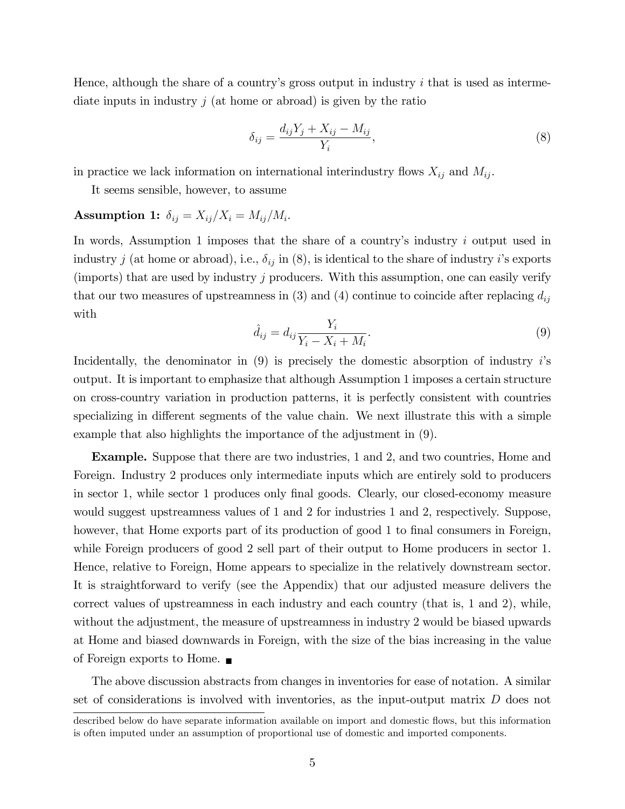Hence, although the share of a country's gross output in industry i that is used as intermediate inputs in industry  $j$  (at home or abroad) is given by the ratio

$$
\delta_{ij} = \frac{d_{ij}Y_j + X_{ij} - M_{ij}}{Y_i},\tag{8}
$$

in practice we lack information on international interindustry flows  $X_{ij}$  and  $M_{ij}$ .

It seems sensible, however, to assume

### Assumption 1:  $\delta_{ij} = X_{ij}/X_i = M_{ij}/M_i$ .

In words, Assumption 1 imposes that the share of a country's industry i output used in industry j (at home or abroad), i.e.,  $\delta_{ij}$  in (8), is identical to the share of industry i's exports (imports) that are used by industry j producers. With this assumption, one can easily verify that our two measures of upstreamness in (3) and (4) continue to coincide after replacing  $d_{ij}$ with

$$
\hat{d}_{ij} = d_{ij} \frac{Y_i}{Y_i - X_i + M_i}.\tag{9}
$$

Incidentally, the denominator in  $(9)$  is precisely the domestic absorption of industry is output. It is important to emphasize that although Assumption 1 imposes a certain structure on cross-country variation in production patterns, it is perfectly consistent with countries specializing in different segments of the value chain. We next illustrate this with a simple example that also highlights the importance of the adjustment in (9).

Example. Suppose that there are two industries, 1 and 2, and two countries, Home and Foreign. Industry 2 produces only intermediate inputs which are entirely sold to producers in sector 1, while sector 1 produces only final goods. Clearly, our closed-economy measure would suggest upstreamness values of 1 and 2 for industries 1 and 2, respectively. Suppose, however, that Home exports part of its production of good 1 to final consumers in Foreign, while Foreign producers of good 2 sell part of their output to Home producers in sector 1. Hence, relative to Foreign, Home appears to specialize in the relatively downstream sector. It is straightforward to verify (see the Appendix) that our adjusted measure delivers the correct values of upstreamness in each industry and each country (that is, 1 and 2), while, without the adjustment, the measure of upstreamness in industry 2 would be biased upwards at Home and biased downwards in Foreign, with the size of the bias increasing in the value of Foreign exports to Home.

The above discussion abstracts from changes in inventories for ease of notation. A similar set of considerations is involved with inventories, as the input-output matrix D does not

described below do have separate information available on import and domestic flows, but this information is often imputed under an assumption of proportional use of domestic and imported components.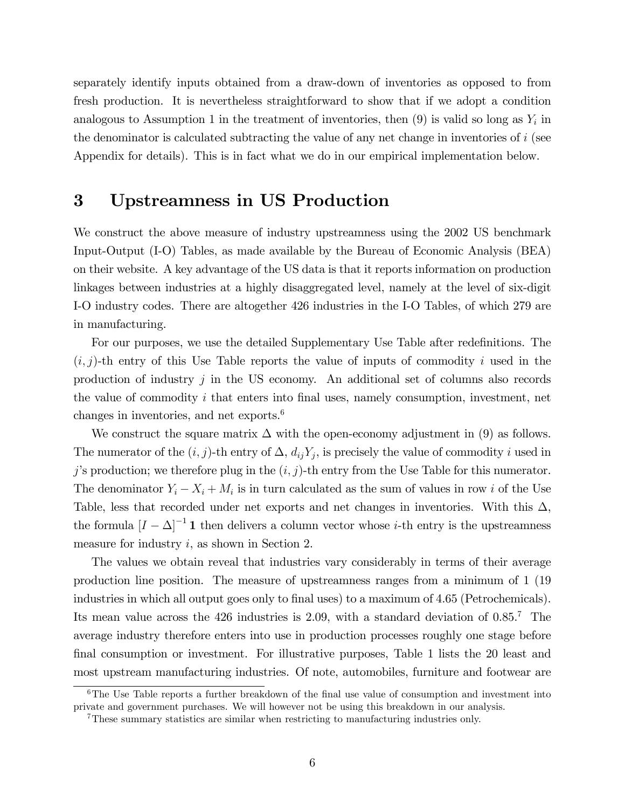separately identify inputs obtained from a draw-down of inventories as opposed to from fresh production. It is nevertheless straightforward to show that if we adopt a condition analogous to Assumption 1 in the treatment of inventories, then  $(9)$  is valid so long as  $Y_i$  in the denominator is calculated subtracting the value of any net change in inventories of  $i$  (see Appendix for details). This is in fact what we do in our empirical implementation below.

## 3 Upstreamness in US Production

We construct the above measure of industry upstreamness using the 2002 US benchmark Input-Output (I-O) Tables, as made available by the Bureau of Economic Analysis (BEA) on their website. A key advantage of the US data is that it reports information on production linkages between industries at a highly disaggregated level, namely at the level of six-digit I-O industry codes. There are altogether 426 industries in the I-O Tables, of which 279 are in manufacturing.

For our purposes, we use the detailed Supplementary Use Table after redefinitions. The  $(i, j)$ -th entry of this Use Table reports the value of inputs of commodity i used in the production of industry  $j$  in the US economy. An additional set of columns also records the value of commodity  $i$  that enters into final uses, namely consumption, investment, net changes in inventories, and net exports.<sup>6</sup>

We construct the square matrix  $\Delta$  with the open-economy adjustment in (9) as follows. The numerator of the  $(i, j)$ -th entry of  $\Delta$ ,  $d_{ij}Y_j$ , is precisely the value of commodity i used in j's production; we therefore plug in the  $(i, j)$ -th entry from the Use Table for this numerator. The denominator  $Y_i - X_i + M_i$  is in turn calculated as the sum of values in row i of the Use Table, less that recorded under net exports and net changes in inventories. With this  $\Delta$ , the formula  $[I - \Delta]^{-1}$  1 then delivers a column vector whose *i*-th entry is the upstreamness measure for industry  $i$ , as shown in Section 2.

The values we obtain reveal that industries vary considerably in terms of their average production line position. The measure of upstreamness ranges from a minimum of 1 (19 industries in which all output goes only to final uses) to a maximum of 4.65 (Petrochemicals). Its mean value across the 426 industries is 2.09, with a standard deviation of 0.85.<sup>7</sup> The average industry therefore enters into use in production processes roughly one stage before final consumption or investment. For illustrative purposes, Table 1 lists the 20 least and most upstream manufacturing industries. Of note, automobiles, furniture and footwear are

 $6$ The Use Table reports a further breakdown of the final use value of consumption and investment into private and government purchases. We will however not be using this breakdown in our analysis.

<sup>&</sup>lt;sup>7</sup>These summary statistics are similar when restricting to manufacturing industries only.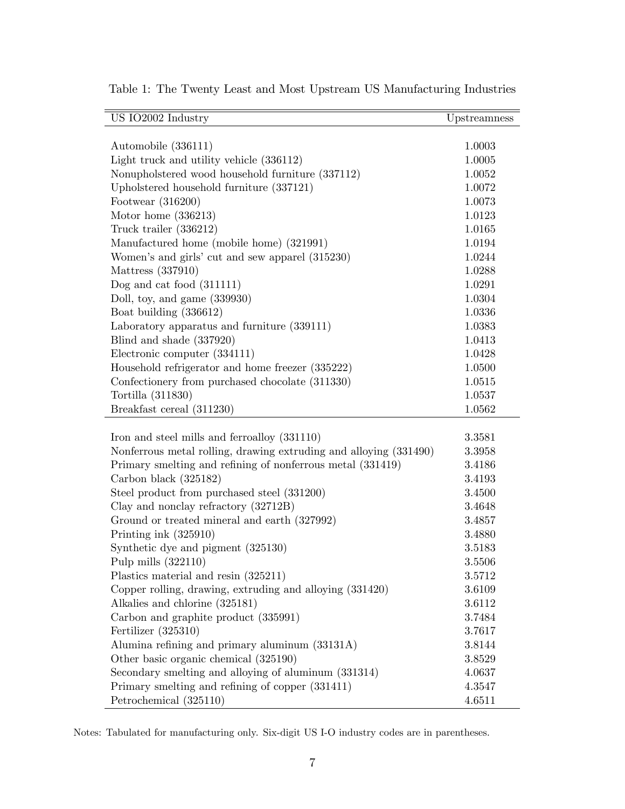| US IO2002 Industry                                                | Upstreamness |
|-------------------------------------------------------------------|--------------|
|                                                                   |              |
| Automobile (336111)                                               | 1.0003       |
| Light truck and utility vehicle $(336112)$                        | 1.0005       |
| Nonupholstered wood household furniture (337112)                  | 1.0052       |
| Upholstered household furniture (337121)                          | 1.0072       |
| Footwear $(316200)$                                               | 1.0073       |
| Motor home $(336213)$                                             | 1.0123       |
| Truck trailer (336212)                                            | 1.0165       |
| Manufactured home (mobile home) (321991)                          | 1.0194       |
| Women's and girls' cut and sew apparel (315230)                   | 1.0244       |
| Mattress (337910)                                                 | 1.0288       |
| Dog and cat food $(311111)$                                       | 1.0291       |
| Doll, toy, and game (339930)                                      | 1.0304       |
| Boat building (336612)                                            | 1.0336       |
| Laboratory apparatus and furniture (339111)                       | 1.0383       |
| Blind and shade (337920)                                          | 1.0413       |
| Electronic computer (334111)                                      | 1.0428       |
| Household refrigerator and home freezer (335222)                  | 1.0500       |
| Confectionery from purchased chocolate (311330)                   | 1.0515       |
| Tortilla (311830)                                                 | 1.0537       |
| Breakfast cereal (311230)                                         | 1.0562       |
|                                                                   |              |
| Iron and steel mills and ferroalloy (331110)                      | 3.3581       |
| Nonferrous metal rolling, drawing extruding and alloying (331490) | 3.3958       |
| Primary smelting and refining of nonferrous metal (331419)        | 3.4186       |
| Carbon black (325182)                                             | 3.4193       |
| Steel product from purchased steel (331200)                       | 3.4500       |
| Clay and nonclay refractory (32712B)                              | 3.4648       |
| Ground or treated mineral and earth (327992)                      | 3.4857       |
| Printing ink (325910)                                             | 3.4880       |
| Synthetic dye and pigment (325130)                                | 3.5183       |
| Pulp mills $(322110)$                                             | 3.5506       |
| Plastics material and resin (325211)                              | 3.5712       |
| Copper rolling, drawing, extruding and alloying (331420)          | 3.6109       |
| Alkalies and chlorine (325181)                                    | 3.6112       |
| Carbon and graphite product (335991)                              | 3.7484       |
| Fertilizer $(325310)$                                             | 3.7617       |
| Alumina refining and primary aluminum (33131A)                    | 3.8144       |
| Other basic organic chemical (325190)                             | 3.8529       |
| Secondary smelting and alloying of aluminum (331314)              | 4.0637       |
| Primary smelting and refining of copper (331411)                  | 4.3547       |
| Petrochemical (325110)                                            | 4.6511       |

Table 1: The Twenty Least and Most Upstream US Manufacturing Industries

Notes: Tabulated for manufacturing only. Six-digit US I-O industry codes are in parentheses.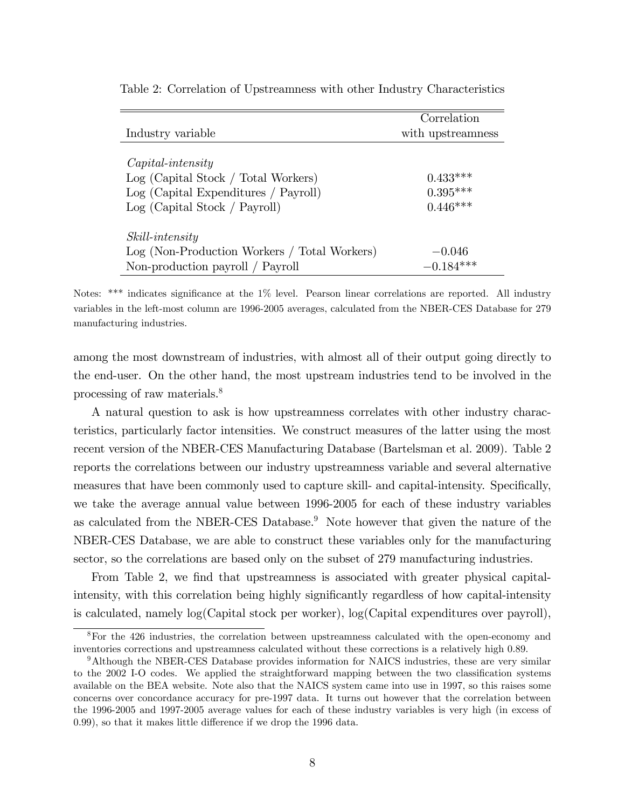|                                              | Correlation       |
|----------------------------------------------|-------------------|
| Industry variable                            | with upstreamness |
|                                              |                   |
| $Capital-intensity$                          |                   |
| Log (Capital Stock / Total Workers)          | $0.433***$        |
| Log (Capital Expenditures / Payroll)         | $0.395***$        |
| Log (Capital Stock / Payroll)                | $0.446***$        |
|                                              |                   |
| <i>Skill-intensity</i>                       |                   |
| Log (Non-Production Workers / Total Workers) | $-0.046$          |
| Non-production payroll / Payroll             | $-0.184***$       |

Table 2: Correlation of Upstreamness with other Industry Characteristics

Notes: \*\*\* indicates significance at the  $1\%$  level. Pearson linear correlations are reported. All industry variables in the left-most column are 1996-2005 averages, calculated from the NBER-CES Database for 279 manufacturing industries.

among the most downstream of industries, with almost all of their output going directly to the end-user. On the other hand, the most upstream industries tend to be involved in the processing of raw materials.<sup>8</sup>

A natural question to ask is how upstreamness correlates with other industry characteristics, particularly factor intensities. We construct measures of the latter using the most recent version of the NBER-CES Manufacturing Database (Bartelsman et al. 2009). Table 2 reports the correlations between our industry upstreamness variable and several alternative measures that have been commonly used to capture skill- and capital-intensity. Specifically, we take the average annual value between 1996-2005 for each of these industry variables as calculated from the NBER-CES Database.<sup>9</sup> Note however that given the nature of the NBER-CES Database, we are able to construct these variables only for the manufacturing sector, so the correlations are based only on the subset of 279 manufacturing industries.

From Table 2, we find that upstreamness is associated with greater physical capitalintensity, with this correlation being highly significantly regardless of how capital-intensity is calculated, namely log(Capital stock per worker), log(Capital expenditures over payroll),

<sup>8</sup>For the 426 industries, the correlation between upstreamness calculated with the open-economy and inventories corrections and upstreamness calculated without these corrections is a relatively high 0.89.

<sup>&</sup>lt;sup>9</sup>Although the NBER-CES Database provides information for NAICS industries, these are very similar to the 2002 I-O codes. We applied the straightforward mapping between the two classification systems available on the BEA website. Note also that the NAICS system came into use in 1997, so this raises some concerns over concordance accuracy for pre-1997 data. It turns out however that the correlation between the 1996-2005 and 1997-2005 average values for each of these industry variables is very high (in excess of  $(0.99)$ , so that it makes little difference if we drop the 1996 data.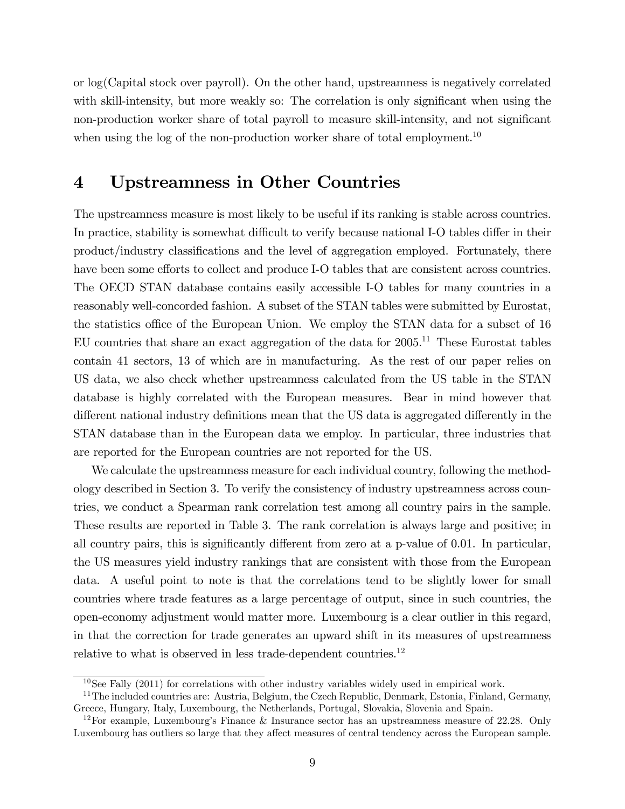or log(Capital stock over payroll). On the other hand, upstreamness is negatively correlated with skill-intensity, but more weakly so: The correlation is only significant when using the non-production worker share of total payroll to measure skill-intensity, and not significant when using the log of the non-production worker share of total employment.<sup>10</sup>

## 4 Upstreamness in Other Countries

The upstreamness measure is most likely to be useful if its ranking is stable across countries. In practice, stability is somewhat difficult to verify because national I-O tables differ in their product/industry classifications and the level of aggregation employed. Fortunately, there have been some efforts to collect and produce I-O tables that are consistent across countries. The OECD STAN database contains easily accessible I-O tables for many countries in a reasonably well-concorded fashion. A subset of the STAN tables were submitted by Eurostat, the statistics office of the European Union. We employ the STAN data for a subset of 16 EU countries that share an exact aggregation of the data for  $2005$ .<sup>11</sup> These Eurostat tables contain 41 sectors, 13 of which are in manufacturing. As the rest of our paper relies on US data, we also check whether upstreamness calculated from the US table in the STAN database is highly correlated with the European measures. Bear in mind however that different national industry definitions mean that the US data is aggregated differently in the STAN database than in the European data we employ. In particular, three industries that are reported for the European countries are not reported for the US.

We calculate the upstreamness measure for each individual country, following the methodology described in Section 3. To verify the consistency of industry upstreamness across countries, we conduct a Spearman rank correlation test among all country pairs in the sample. These results are reported in Table 3. The rank correlation is always large and positive; in all country pairs, this is significantly different from zero at a p-value of  $0.01$ . In particular, the US measures yield industry rankings that are consistent with those from the European data. A useful point to note is that the correlations tend to be slightly lower for small countries where trade features as a large percentage of output, since in such countries, the open-economy adjustment would matter more. Luxembourg is a clear outlier in this regard, in that the correction for trade generates an upward shift in its measures of upstreamness relative to what is observed in less trade-dependent countries.<sup>12</sup>

 $10$ See Fally (2011) for correlations with other industry variables widely used in empirical work.

 $11$ The included countries are: Austria, Belgium, the Czech Republic, Denmark, Estonia, Finland, Germany, Greece, Hungary, Italy, Luxembourg, the Netherlands, Portugal, Slovakia, Slovenia and Spain.

<sup>&</sup>lt;sup>12</sup>For example, Luxembourg's Finance & Insurance sector has an upstreamness measure of 22.28. Only Luxembourg has outliers so large that they affect measures of central tendency across the European sample.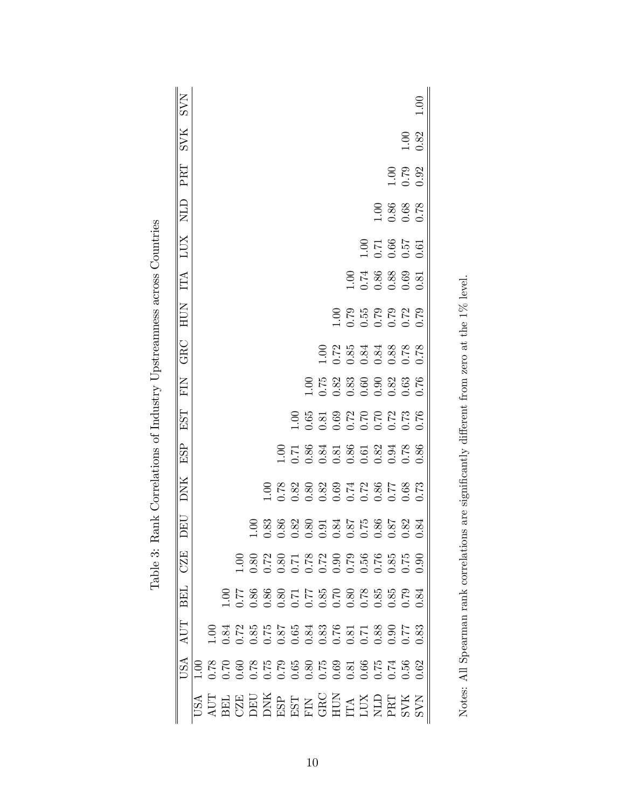| <b>NAS</b> |  |                                                                                                                       |  |  |  |                                                                                                                       |                                                                                                                                                                                                                                                                                                               |  |                                                                        |                   | 1.00 |
|------------|--|-----------------------------------------------------------------------------------------------------------------------|--|--|--|-----------------------------------------------------------------------------------------------------------------------|---------------------------------------------------------------------------------------------------------------------------------------------------------------------------------------------------------------------------------------------------------------------------------------------------------------|--|------------------------------------------------------------------------|-------------------|------|
| <b>SVK</b> |  |                                                                                                                       |  |  |  |                                                                                                                       |                                                                                                                                                                                                                                                                                                               |  |                                                                        | 1.00              |      |
| PRT        |  |                                                                                                                       |  |  |  |                                                                                                                       |                                                                                                                                                                                                                                                                                                               |  |                                                                        | $\frac{100}{100}$ |      |
| NLD        |  |                                                                                                                       |  |  |  |                                                                                                                       |                                                                                                                                                                                                                                                                                                               |  | 1.00<br>0.86<br>0.68                                                   |                   |      |
| LUX        |  |                                                                                                                       |  |  |  |                                                                                                                       |                                                                                                                                                                                                                                                                                                               |  | $\begin{array}{c} 1.00 \\ 1.71 \\ 0.66 \\ 0.57 \\ 0.01 \\ \end{array}$ |                   |      |
| ĽЦ         |  |                                                                                                                       |  |  |  |                                                                                                                       |                                                                                                                                                                                                                                                                                                               |  | $\frac{1.00}{1.74}$<br>$\frac{88}{0.88}$<br>$\frac{83}{0.81}$          |                   |      |
| HUN        |  |                                                                                                                       |  |  |  |                                                                                                                       | $\begin{array}{c} 0.75 \\ 0.55 \\ 0.55 \\ 0.57 \\ 0.07 \\ 0.01 \\ 0.01 \\ 0.01 \\ 0.01 \\ 0.01 \\ 0.01 \\ 0.01 \\ 0.01 \\ 0.01 \\ 0.01 \\ 0.01 \\ 0.01 \\ 0.01 \\ 0.01 \\ 0.01 \\ 0.01 \\ 0.01 \\ 0.01 \\ 0.01 \\ 0.01 \\ 0.01 \\ 0.01 \\ 0.01 \\ 0.01 \\ 0.01 \\ 0.01 \\ 0.01 \\ 0.01 \\ 0.01 \\ 0.01 \\ 0.$ |  |                                                                        |                   |      |
| GRC        |  |                                                                                                                       |  |  |  | $\frac{100}{200}$<br>$\frac{25}{200}$<br>$\frac{35}{200}$<br>$\frac{35}{200}$<br>$\frac{35}{200}$<br>$\frac{35}{200}$ |                                                                                                                                                                                                                                                                                                               |  |                                                                        |                   |      |
| EN         |  |                                                                                                                       |  |  |  |                                                                                                                       |                                                                                                                                                                                                                                                                                                               |  |                                                                        |                   |      |
| EST        |  |                                                                                                                       |  |  |  |                                                                                                                       |                                                                                                                                                                                                                                                                                                               |  |                                                                        |                   |      |
| ESP        |  |                                                                                                                       |  |  |  |                                                                                                                       |                                                                                                                                                                                                                                                                                                               |  |                                                                        |                   |      |
| DNK        |  |                                                                                                                       |  |  |  |                                                                                                                       |                                                                                                                                                                                                                                                                                                               |  |                                                                        |                   |      |
| DEU        |  |                                                                                                                       |  |  |  |                                                                                                                       |                                                                                                                                                                                                                                                                                                               |  |                                                                        |                   |      |
| CZE        |  |                                                                                                                       |  |  |  |                                                                                                                       |                                                                                                                                                                                                                                                                                                               |  |                                                                        |                   | 0.90 |
| BEL        |  |                                                                                                                       |  |  |  |                                                                                                                       |                                                                                                                                                                                                                                                                                                               |  |                                                                        |                   |      |
| AUT        |  |                                                                                                                       |  |  |  |                                                                                                                       |                                                                                                                                                                                                                                                                                                               |  |                                                                        |                   |      |
| USA        |  |                                                                                                                       |  |  |  |                                                                                                                       |                                                                                                                                                                                                                                                                                                               |  |                                                                        |                   |      |
|            |  | <b>NATHRIAN SEARCH NATHRIAN SEARCH NATHRIAN SEARCH NATHRIAN SEARCH NATHRIAN SEARCH NATHRIAN SEARCH NATHRIAN SEARC</b> |  |  |  |                                                                                                                       |                                                                                                                                                                                                                                                                                                               |  |                                                                        |                   |      |

| ׇ֚֬֡<br>j<br>ׇ֚֓֡<br>ׇ֚֬֡<br>Ì                          |
|---------------------------------------------------------|
| i<br>.<br>ו<br>¢<br>ج                                   |
| j<br>l<br>י<br>in A A second<br>ׇ֚֘<br>֠<br>į<br>ı<br>j |
| ׇ֚֘֡<br>i<br>ו<br>ו<br>Ì<br>l                           |
| l<br>くりょうよう<br>j<br>l<br>l<br>ׇ֚֓֡<br>I<br>)<br>Ì       |
| ֠<br>$\frac{1}{2}$<br>ׇ֚֘֝֬                             |
| ׇ֚֘֝֬<br>į<br>ĺ<br>۱                                    |

Notes: All Spearman rank correlations are significantly different from zero at the  $1\%$  level. Notes: All Spearman rank correlations are significantly different from zero at the 1% level.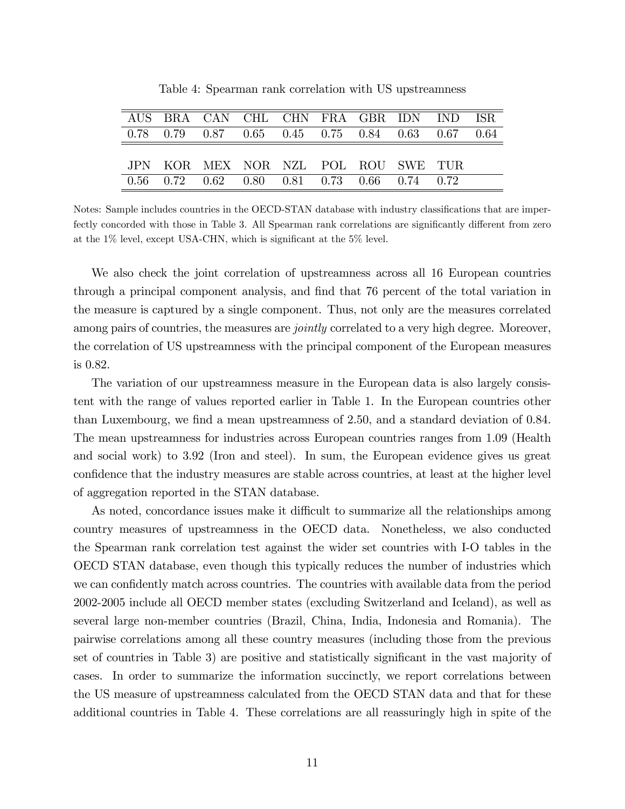|  | AUS BRA CAN CHL CHN FRA GBR IDN IND ISR                               |  |  |  |  |
|--|-----------------------------------------------------------------------|--|--|--|--|
|  | $0.78$ $0.79$ $0.87$ $0.65$ $0.45$ $0.75$ $0.84$ $0.63$ $0.67$ $0.64$ |  |  |  |  |
|  |                                                                       |  |  |  |  |
|  | JPN KOR MEX NOR NZL POL ROU SWE TUR                                   |  |  |  |  |
|  | $0.56$ $0.72$ $0.62$ $0.80$ $0.81$ $0.73$ $0.66$ $0.74$ $0.72$        |  |  |  |  |

Table 4: Spearman rank correlation with US upstreamness

Notes: Sample includes countries in the OECD-STAN database with industry classifications that are imperfectly concorded with those in Table 3. All Spearman rank correlations are significantly different from zero at the  $1\%$  level, except USA-CHN, which is significant at the  $5\%$  level.

We also check the joint correlation of upstreamness across all 16 European countries through a principal component analysis, and find that 76 percent of the total variation in the measure is captured by a single component. Thus, not only are the measures correlated among pairs of countries, the measures are *jointly* correlated to a very high degree. Moreover, the correlation of US upstreamness with the principal component of the European measures is 0.82.

The variation of our upstreamness measure in the European data is also largely consistent with the range of values reported earlier in Table 1. In the European countries other than Luxembourg, we find a mean upstreamness of 2.50, and a standard deviation of 0.84. The mean upstreamness for industries across European countries ranges from 1.09 (Health and social work) to 3.92 (Iron and steel). In sum, the European evidence gives us great confidence that the industry measures are stable across countries, at least at the higher level of aggregation reported in the STAN database.

As noted, concordance issues make it difficult to summarize all the relationships among country measures of upstreamness in the OECD data. Nonetheless, we also conducted the Spearman rank correlation test against the wider set countries with I-O tables in the OECD STAN database, even though this typically reduces the number of industries which we can confidently match across countries. The countries with available data from the period 2002-2005 include all OECD member states (excluding Switzerland and Iceland), as well as several large non-member countries (Brazil, China, India, Indonesia and Romania). The pairwise correlations among all these country measures (including those from the previous set of countries in Table 3) are positive and statistically significant in the vast majority of cases. In order to summarize the information succinctly, we report correlations between the US measure of upstreamness calculated from the OECD STAN data and that for these additional countries in Table 4. These correlations are all reassuringly high in spite of the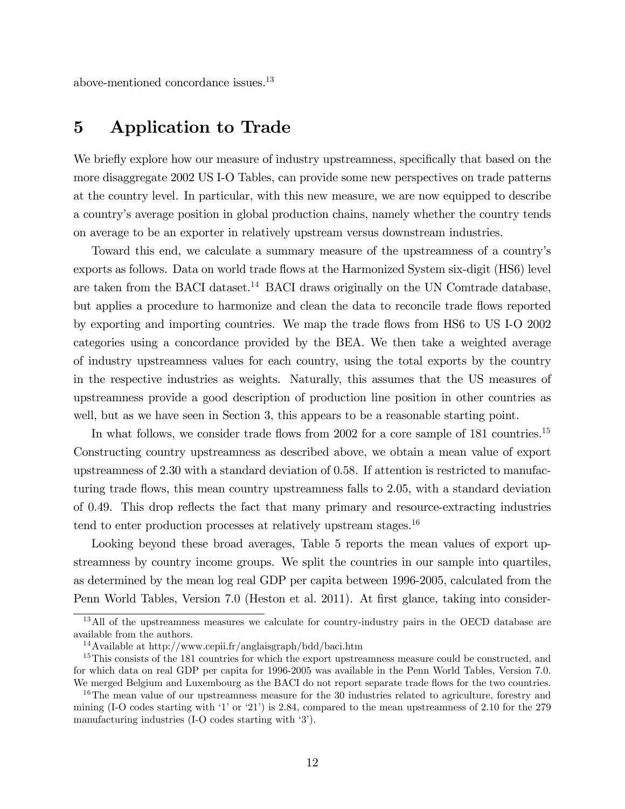above-mentioned concordance issues.<sup>13</sup>

## 5 Application to Trade

We briefly explore how our measure of industry upstreamness, specifically that based on the more disaggregate 2002 US I-O Tables, can provide some new perspectives on trade patterns at the country level. In particular, with this new measure, we are now equipped to describe a countryís average position in global production chains, namely whether the country tends on average to be an exporter in relatively upstream versus downstream industries.

Toward this end, we calculate a summary measure of the upstreamness of a countryís exports as follows. Data on world trade flows at the Harmonized System six-digit (HS6) level are taken from the BACI dataset.<sup>14</sup> BACI draws originally on the UN Comtrade database, but applies a procedure to harmonize and clean the data to reconcile trade flows reported by exporting and importing countries. We map the trade áows from HS6 to US I-O 2002 categories using a concordance provided by the BEA. We then take a weighted average of industry upstreamness values for each country, using the total exports by the country in the respective industries as weights. Naturally, this assumes that the US measures of upstreamness provide a good description of production line position in other countries as well, but as we have seen in Section 3, this appears to be a reasonable starting point.

In what follows, we consider trade flows from 2002 for a core sample of 181 countries.<sup>15</sup> Constructing country upstreamness as described above, we obtain a mean value of export upstreamness of 2.30 with a standard deviation of 0.58. If attention is restricted to manufacturing trade flows, this mean country upstreamness falls to 2.05, with a standard deviation of 0.49. This drop reflects the fact that many primary and resource-extracting industries tend to enter production processes at relatively upstream stages.<sup>16</sup>

Looking beyond these broad averages, Table 5 reports the mean values of export upstreamness by country income groups. We split the countries in our sample into quartiles, as determined by the mean log real GDP per capita between 1996-2005, calculated from the Penn World Tables, Version 7.0 (Heston et al. 2011). At first glance, taking into consider-

<sup>&</sup>lt;sup>13</sup>All of the upstreamness measures we calculate for country-industry pairs in the OECD database are available from the authors.

<sup>14</sup>Available at http://www.cepii.fr/anglaisgraph/bdd/baci.htm

<sup>&</sup>lt;sup>15</sup>This consists of the 181 countries for which the export upstreamness measure could be constructed, and for which data on real GDP per capita for 1996-2005 was available in the Penn World Tables, Version 7.0. We merged Belgium and Luxembourg as the BACI do not report separate trade flows for the two countries.

<sup>&</sup>lt;sup>16</sup>The mean value of our upstreamness measure for the 30 industries related to agriculture, forestry and mining (I-O codes starting with  $'1'$  or  $'21'$ ) is 2.84, compared to the mean upstreamness of 2.10 for the 279 manufacturing industries  $(I-O \text{ codes starting with } 3$ <sup>'</sup>).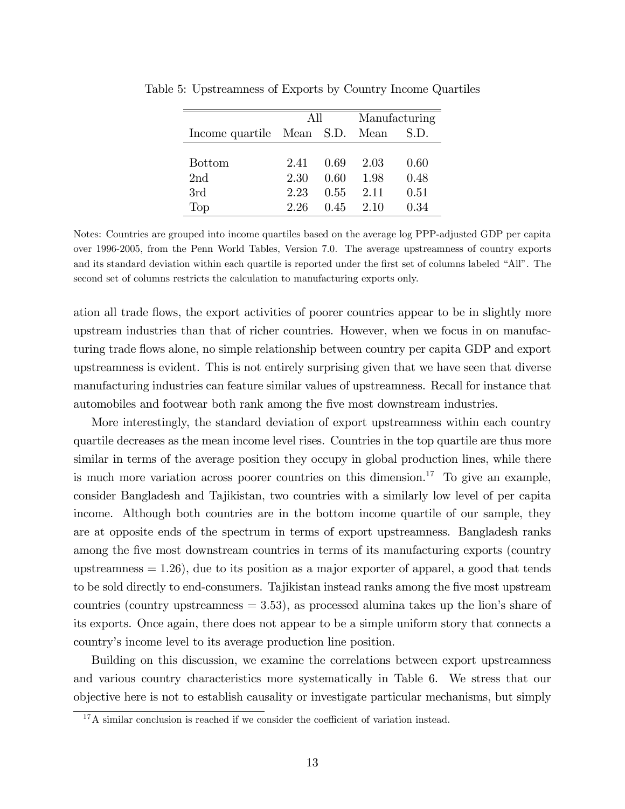|                                | A 11 |      |      | Manufacturing |
|--------------------------------|------|------|------|---------------|
| Income quartile Mean S.D. Mean |      |      |      | S.D.          |
|                                |      |      |      |               |
| <b>Bottom</b>                  | 2.41 | 0.69 | 2.03 | 0.60          |
| 2 <sub>nd</sub>                | 2.30 | 0.60 | 1.98 | 0.48          |
| 3rd                            | 2.23 | 0.55 | 2.11 | 0.51          |
| Top                            | 2.26 | 0.45 | 2.10 | 0.34          |

Table 5: Upstreamness of Exports by Country Income Quartiles

Notes: Countries are grouped into income quartiles based on the average log PPP-adjusted GDP per capita over 1996-2005, from the Penn World Tables, Version 7.0. The average upstreamness of country exports and its standard deviation within each quartile is reported under the first set of columns labeled "All". The second set of columns restricts the calculation to manufacturing exports only.

ation all trade flows, the export activities of poorer countries appear to be in slightly more upstream industries than that of richer countries. However, when we focus in on manufacturing trade flows alone, no simple relationship between country per capita GDP and export upstreamness is evident. This is not entirely surprising given that we have seen that diverse manufacturing industries can feature similar values of upstreamness. Recall for instance that automobiles and footwear both rank among the five most downstream industries.

More interestingly, the standard deviation of export upstreamness within each country quartile decreases as the mean income level rises. Countries in the top quartile are thus more similar in terms of the average position they occupy in global production lines, while there is much more variation across poorer countries on this dimension.<sup>17</sup> To give an example, consider Bangladesh and Tajikistan, two countries with a similarly low level of per capita income. Although both countries are in the bottom income quartile of our sample, they are at opposite ends of the spectrum in terms of export upstreamness. Bangladesh ranks among the five most downstream countries in terms of its manufacturing exports (country upstreamness  $= 1.26$ , due to its position as a major exporter of apparel, a good that tends to be sold directly to end-consumers. Tajikistan instead ranks among the five most upstream countries (country upstreamness  $= 3.53$ ), as processed alumina takes up the lion's share of its exports. Once again, there does not appear to be a simple uniform story that connects a countryís income level to its average production line position.

Building on this discussion, we examine the correlations between export upstreamness and various country characteristics more systematically in Table 6. We stress that our objective here is not to establish causality or investigate particular mechanisms, but simply

 $17A$  similar conclusion is reached if we consider the coefficient of variation instead.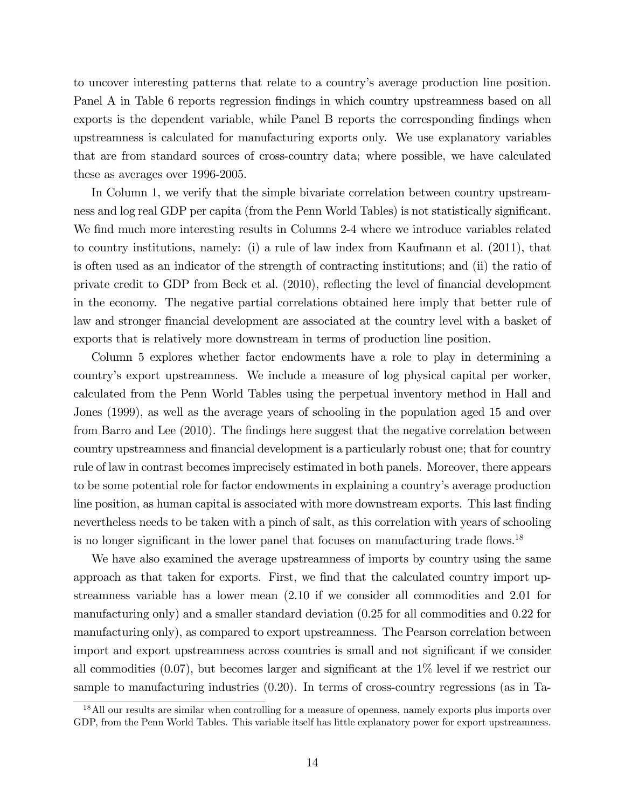to uncover interesting patterns that relate to a countryís average production line position. Panel A in Table 6 reports regression findings in which country upstreamness based on all exports is the dependent variable, while Panel B reports the corresponding findings when upstreamness is calculated for manufacturing exports only. We use explanatory variables that are from standard sources of cross-country data; where possible, we have calculated these as averages over 1996-2005.

In Column 1, we verify that the simple bivariate correlation between country upstreamness and log real GDP per capita (from the Penn World Tables) is not statistically significant. We find much more interesting results in Columns 2-4 where we introduce variables related to country institutions, namely: (i) a rule of law index from Kaufmann et al. (2011), that is often used as an indicator of the strength of contracting institutions; and (ii) the ratio of private credit to GDP from Beck et al.  $(2010)$ , reflecting the level of financial development in the economy. The negative partial correlations obtained here imply that better rule of law and stronger financial development are associated at the country level with a basket of exports that is relatively more downstream in terms of production line position.

Column 5 explores whether factor endowments have a role to play in determining a countryís export upstreamness. We include a measure of log physical capital per worker, calculated from the Penn World Tables using the perpetual inventory method in Hall and Jones (1999), as well as the average years of schooling in the population aged 15 and over from Barro and Lee (2010). The findings here suggest that the negative correlation between country upstreamness and financial development is a particularly robust one; that for country rule of law in contrast becomes imprecisely estimated in both panels. Moreover, there appears to be some potential role for factor endowments in explaining a countryís average production line position, as human capital is associated with more downstream exports. This last finding nevertheless needs to be taken with a pinch of salt, as this correlation with years of schooling is no longer significant in the lower panel that focuses on manufacturing trade flows.<sup>18</sup>

We have also examined the average upstreamness of imports by country using the same approach as that taken for exports. First, we find that the calculated country import upstreamness variable has a lower mean (2.10 if we consider all commodities and 2.01 for manufacturing only) and a smaller standard deviation (0.25 for all commodities and 0.22 for manufacturing only), as compared to export upstreamness. The Pearson correlation between import and export upstreamness across countries is small and not significant if we consider all commodities  $(0.07)$ , but becomes larger and significant at the  $1\%$  level if we restrict our sample to manufacturing industries (0.20). In terms of cross-country regressions (as in Ta-

<sup>&</sup>lt;sup>18</sup>All our results are similar when controlling for a measure of openness, namely exports plus imports over GDP, from the Penn World Tables. This variable itself has little explanatory power for export upstreamness.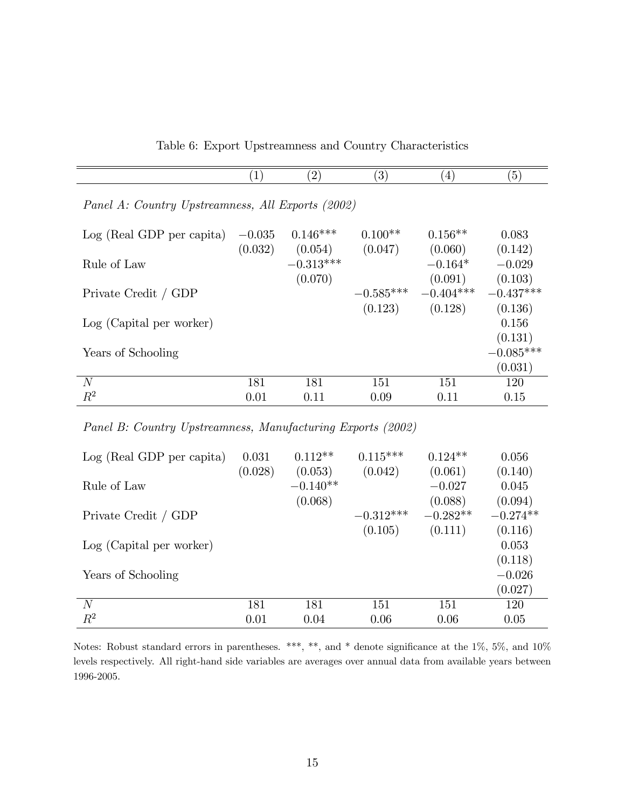Table 6: Export Upstreamness and Country Characteristics

|                                                   | $\left( 1\right)$ | $\left( 2\right)$      | $^{\prime}3)$          | $\left(4\right)$       | $\left(5\right)$       |
|---------------------------------------------------|-------------------|------------------------|------------------------|------------------------|------------------------|
| Panel A: Country Upstreamness, All Exports (2002) |                   |                        |                        |                        |                        |
| Log (Real GDP per capita)                         | $-0.035$          | $0.146***$             | $0.100**$              | $0.156**$              | 0.083                  |
| Rule of Law                                       | (0.032)           | (0.054)<br>$-0.313***$ | (0.047)                | (0.060)<br>$-0.164*$   | (0.142)<br>$-0.029$    |
|                                                   |                   | (0.070)                |                        | (0.091)                | (0.103)                |
| Private Credit / GDP                              |                   |                        | $-0.585***$<br>(0.123) | $-0.404***$<br>(0.128) | $-0.437***$<br>(0.136) |
| Log (Capital per worker)                          |                   |                        |                        |                        | 0.156<br>(0.131)       |
| Years of Schooling                                |                   |                        |                        |                        | $-0.085***$            |
|                                                   |                   |                        |                        |                        | (0.031)                |
| N                                                 | 181               | 181                    | 151                    | 151                    | 120                    |
| $R^2$                                             | 0.01              | 0.11                   | 0.09                   | 0.11                   | 0.15                   |

Panel B: Country Upstreamness, Manufacturing Exports (2002)

| Log (Real GDP per capita) | 0.031<br>(0.028) | $0.112**$<br>(0.053) | $0.115***$<br>(0.042) | $0.124**$<br>(0.061) | 0.056<br>(0.140) |
|---------------------------|------------------|----------------------|-----------------------|----------------------|------------------|
| Rule of Law               |                  | $-0.140**$           |                       | $-0.027$             | 0.045            |
|                           |                  | (0.068)              |                       | (0.088)              | (0.094)          |
| Private Credit / GDP      |                  |                      | $-0.312***$           | $-0.282**$           | $-0.274**$       |
|                           |                  |                      | (0.105)               | (0.111)              | (0.116)          |
| Log (Capital per worker)  |                  |                      |                       |                      | 0.053            |
|                           |                  |                      |                       |                      | (0.118)          |
| Years of Schooling        |                  |                      |                       |                      | $-0.026$         |
|                           |                  |                      |                       |                      | (0.027)          |
| N                         | 181              | 181                  | 151                   | 151                  | 120              |
| $R^2$                     | 0.01             | 0.04                 | 0.06                  | 0.06                 | 0.05             |

Notes: Robust standard errors in parentheses. \*\*\*, \*\*, and \* denote significance at the  $1\%$ ,  $5\%$ , and  $10\%$ levels respectively. All right-hand side variables are averages over annual data from available years between 1996-2005.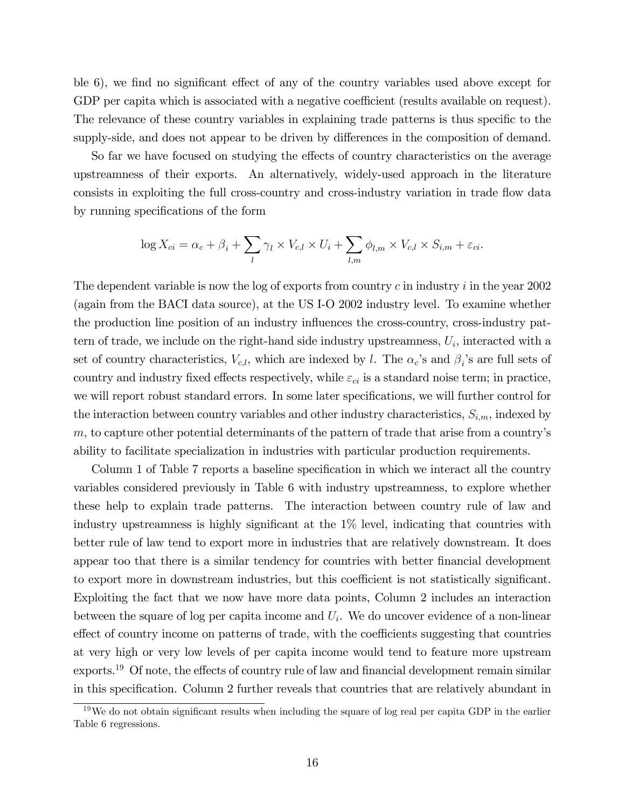ble 6), we find no significant effect of any of the country variables used above except for GDP per capita which is associated with a negative coefficient (results available on request). The relevance of these country variables in explaining trade patterns is thus specific to the supply-side, and does not appear to be driven by differences in the composition of demand.

So far we have focused on studying the effects of country characteristics on the average upstreamness of their exports. An alternatively, widely-used approach in the literature consists in exploiting the full cross-country and cross-industry variation in trade flow data by running specifications of the form

$$
\log X_{ci} = \alpha_c + \beta_i + \sum_l \gamma_l \times V_{c,l} \times U_i + \sum_{l,m} \phi_{l,m} \times V_{c,l} \times S_{i,m} + \varepsilon_{ci}.
$$

The dependent variable is now the log of exports from country  $c$  in industry  $i$  in the year 2002 (again from the BACI data source), at the US I-O 2002 industry level. To examine whether the production line position of an industry influences the cross-country, cross-industry pattern of trade, we include on the right-hand side industry upstreamness,  $U_i$ , interacted with a set of country characteristics,  $V_{c,l}$ , which are indexed by l. The  $\alpha_c$ 's and  $\beta_i$ 's are full sets of country and industry fixed effects respectively, while  $\varepsilon_{ci}$  is a standard noise term; in practice, we will report robust standard errors. In some later specifications, we will further control for the interaction between country variables and other industry characteristics,  $S_{i,m}$ , indexed by  $m$ , to capture other potential determinants of the pattern of trade that arise from a country's ability to facilitate specialization in industries with particular production requirements.

Column 1 of Table 7 reports a baseline specification in which we interact all the country variables considered previously in Table 6 with industry upstreamness, to explore whether these help to explain trade patterns. The interaction between country rule of law and industry upstreamness is highly significant at the  $1\%$  level, indicating that countries with better rule of law tend to export more in industries that are relatively downstream. It does appear too that there is a similar tendency for countries with better Önancial development to export more in downstream industries, but this coefficient is not statistically significant. Exploiting the fact that we now have more data points, Column 2 includes an interaction between the square of log per capita income and  $U_i$ . We do uncover evidence of a non-linear effect of country income on patterns of trade, with the coefficients suggesting that countries at very high or very low levels of per capita income would tend to feature more upstream exports.<sup>19</sup> Of note, the effects of country rule of law and financial development remain similar in this specification. Column 2 further reveals that countries that are relatively abundant in

 $19$ We do not obtain significant results when including the square of log real per capita GDP in the earlier Table 6 regressions.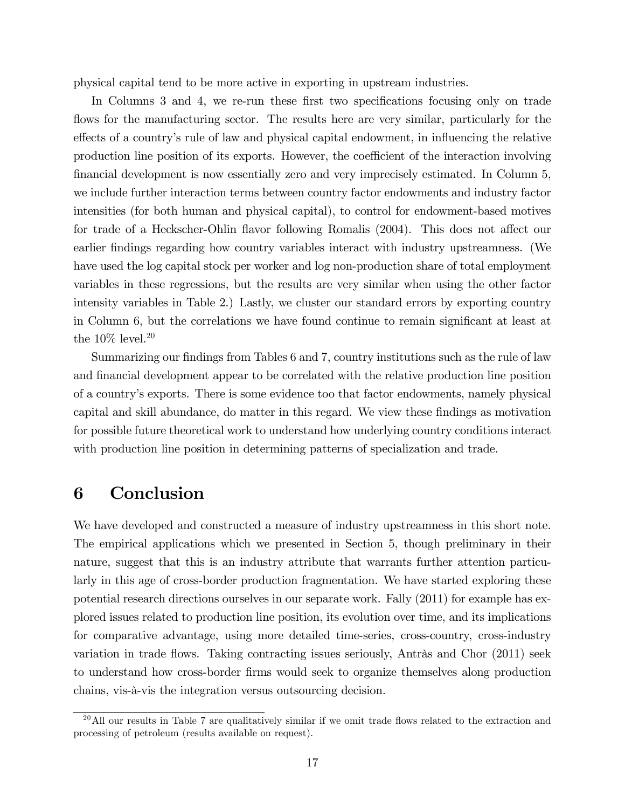physical capital tend to be more active in exporting in upstream industries.

In Columns 3 and 4, we re-run these first two specifications focusing only on trade flows for the manufacturing sector. The results here are very similar, particularly for the effects of a country's rule of law and physical capital endowment, in influencing the relative production line position of its exports. However, the coefficient of the interaction involving Önancial development is now essentially zero and very imprecisely estimated. In Column 5, we include further interaction terms between country factor endowments and industry factor intensities (for both human and physical capital), to control for endowment-based motives for trade of a Heckscher-Ohlin flavor following Romalis (2004). This does not affect our earlier Öndings regarding how country variables interact with industry upstreamness. (We have used the log capital stock per worker and log non-production share of total employment variables in these regressions, but the results are very similar when using the other factor intensity variables in Table 2.) Lastly, we cluster our standard errors by exporting country in Column 6, but the correlations we have found continue to remain significant at least at the  $10\%$  level.<br> $^{20}$ 

Summarizing our findings from Tables 6 and 7, country institutions such as the rule of law and financial development appear to be correlated with the relative production line position of a countryís exports. There is some evidence too that factor endowments, namely physical capital and skill abundance, do matter in this regard. We view these Öndings as motivation for possible future theoretical work to understand how underlying country conditions interact with production line position in determining patterns of specialization and trade.

# 6 Conclusion

We have developed and constructed a measure of industry upstreamness in this short note. The empirical applications which we presented in Section 5, though preliminary in their nature, suggest that this is an industry attribute that warrants further attention particularly in this age of cross-border production fragmentation. We have started exploring these potential research directions ourselves in our separate work. Fally (2011) for example has explored issues related to production line position, its evolution over time, and its implications for comparative advantage, using more detailed time-series, cross-country, cross-industry variation in trade flows. Taking contracting issues seriously, Antràs and Chor  $(2011)$  seek to understand how cross-border Örms would seek to organize themselves along production chains, vis-à-vis the integration versus outsourcing decision.

 $^{20}$ All our results in Table 7 are qualitatively similar if we omit trade flows related to the extraction and processing of petroleum (results available on request).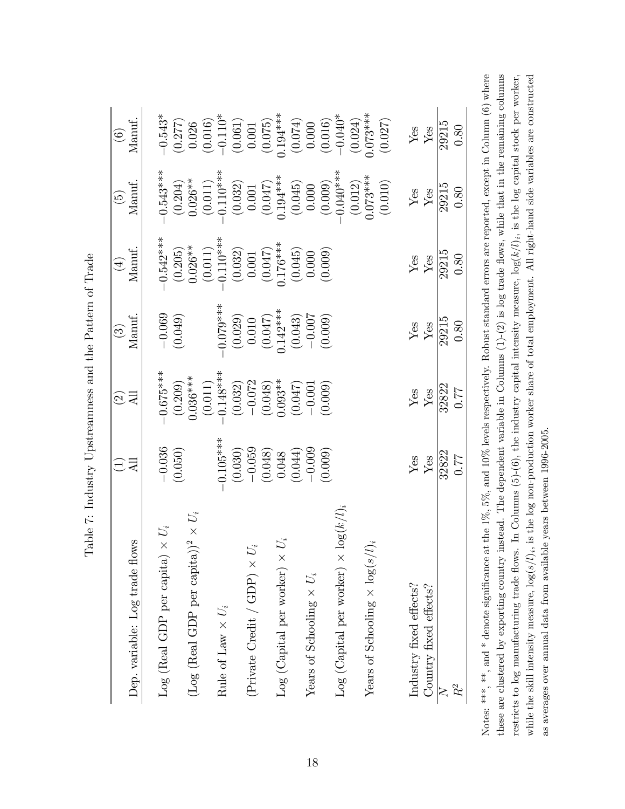| Dep. variable: Log trade flows                         | $\Xi$                                                                                                 | $\odot$ ସି                                                                                                                                      | $\begin{array}{c} (3) \\ \text{Manut.} \end{array}$                                               | $\begin{array}{c} (4) \\ \text{Manut.} \end{array}$                                                                                      | $\begin{array}{c} (5) \\ \text{Manut.} \end{array}$                                                                                                                                    | $(6)$<br>Manuf.                                                                                                                                                                                                                                                                         |
|--------------------------------------------------------|-------------------------------------------------------------------------------------------------------|-------------------------------------------------------------------------------------------------------------------------------------------------|---------------------------------------------------------------------------------------------------|------------------------------------------------------------------------------------------------------------------------------------------|----------------------------------------------------------------------------------------------------------------------------------------------------------------------------------------|-----------------------------------------------------------------------------------------------------------------------------------------------------------------------------------------------------------------------------------------------------------------------------------------|
| $U_i^*$<br>$\mbox{Log}$ (Real GDP per capita) $\times$ | $-0.036$<br>(0.050)                                                                                   |                                                                                                                                                 | $\frac{-0.069}{(0.049)}$                                                                          |                                                                                                                                          |                                                                                                                                                                                        |                                                                                                                                                                                                                                                                                         |
| (Log (Real GDP per capita))                            |                                                                                                       | $-0.675***$<br>$(0.209)$<br>$(0.209)$<br>$(0.036***$<br>$(0.011)$<br>$(0.032)$<br>$(0.032)$<br>$(0.047)$<br>$(0.047)$<br>$(0.047)$<br>$(0.047)$ |                                                                                                   | $0.542**$<br>$(0.205)$<br>$0.026**$<br>$0.0320$<br>$(0.011)$<br>$(0.032)$<br>$0.032$<br>$(0.047)$<br>$(0.045)$<br>$(0.045)$<br>$(0.000)$ | $-0.543***$<br>$(0.204)$<br>$(0.011)$<br>$-0.110***$<br>$(0.032)$<br>$(0.032)$<br>$(0.047)$<br>$(0.045)$<br>$(0.045)$<br>$(0.000)$<br>$(0.000)$<br>$(0.012)$<br>$(0.012)$<br>$(0.012)$ | $\begin{array}{c} -0.543^{*} \\[-2pt] -0.277) \\[-2pt] 0.026 \\[-2pt] 0.016) \\[-2pt] 0.010 \\[-2pt] 0.001 \\[-2pt] 0.001 \\[-2pt] 0.001 \\[-2pt] 0.000 \\[-2pt] 0.0140^{*} \\[-2pt] 0.000 \\[-2pt] 0.0140^{*} \\[-2pt] 0.027 \\[-2pt] 0.027 \\[-2pt] 0.027 \\[-2pt] 0.027 \end{array}$ |
| Rule of Law $\times U_i$                               |                                                                                                       |                                                                                                                                                 |                                                                                                   |                                                                                                                                          |                                                                                                                                                                                        |                                                                                                                                                                                                                                                                                         |
| (Private Credit / GDP) $\times U_i$                    | $(0.105**$<br>$(0.030)$<br>$(0.030)$<br>$(0.048)$<br>$(0.044)$<br>$(0.044)$<br>$(0.046)$<br>$(0.009)$ |                                                                                                                                                 | $0.079**$<br>$(0.029)$<br>$0.010$<br>$(0.047)$<br>$0.142**$<br>$(0.043)$<br>$(0.043)$<br>$(0.007$ |                                                                                                                                          |                                                                                                                                                                                        |                                                                                                                                                                                                                                                                                         |
|                                                        |                                                                                                       |                                                                                                                                                 |                                                                                                   |                                                                                                                                          |                                                                                                                                                                                        |                                                                                                                                                                                                                                                                                         |
| $Log(Gapital$ per worker) $\times$                     |                                                                                                       |                                                                                                                                                 |                                                                                                   |                                                                                                                                          |                                                                                                                                                                                        |                                                                                                                                                                                                                                                                                         |
|                                                        |                                                                                                       |                                                                                                                                                 |                                                                                                   |                                                                                                                                          |                                                                                                                                                                                        |                                                                                                                                                                                                                                                                                         |
| Years of Schooling $\times$ $U_i$                      |                                                                                                       |                                                                                                                                                 |                                                                                                   |                                                                                                                                          |                                                                                                                                                                                        |                                                                                                                                                                                                                                                                                         |
|                                                        |                                                                                                       |                                                                                                                                                 |                                                                                                   |                                                                                                                                          |                                                                                                                                                                                        |                                                                                                                                                                                                                                                                                         |
| Log (Capital per worker) $\times$ log( $k/l$           |                                                                                                       |                                                                                                                                                 |                                                                                                   |                                                                                                                                          |                                                                                                                                                                                        |                                                                                                                                                                                                                                                                                         |
|                                                        |                                                                                                       |                                                                                                                                                 |                                                                                                   |                                                                                                                                          |                                                                                                                                                                                        |                                                                                                                                                                                                                                                                                         |
| Years of Schooling $\times$ $\log(s/l)$                |                                                                                                       |                                                                                                                                                 |                                                                                                   |                                                                                                                                          |                                                                                                                                                                                        |                                                                                                                                                                                                                                                                                         |
|                                                        |                                                                                                       |                                                                                                                                                 |                                                                                                   |                                                                                                                                          |                                                                                                                                                                                        |                                                                                                                                                                                                                                                                                         |
| Industry fixed effects?                                |                                                                                                       |                                                                                                                                                 |                                                                                                   |                                                                                                                                          |                                                                                                                                                                                        |                                                                                                                                                                                                                                                                                         |
| Country fixed effects?                                 | $_{\rm Yes}^{\rm Yes}$                                                                                | $_{\rm Yes}^{\rm{gas}}$                                                                                                                         | $\frac{\mathrm{Yes}}{\frac{\mathrm{Yes}}{29215}}$                                                 | $\frac{Yes}{10215}$                                                                                                                      | $\frac{\text{Yes}}{\text{Yes}}$                                                                                                                                                        | $\frac{\text{Yes}}{\text{Yes}}$                                                                                                                                                                                                                                                         |
|                                                        | 32822                                                                                                 | 32822<br>0.77                                                                                                                                   |                                                                                                   |                                                                                                                                          | 29215<br>0.80                                                                                                                                                                          | $\frac{29215}{ }$                                                                                                                                                                                                                                                                       |
| $R^2$                                                  | $0.77\,$                                                                                              |                                                                                                                                                 |                                                                                                   | 0.80                                                                                                                                     |                                                                                                                                                                                        | 0.80                                                                                                                                                                                                                                                                                    |

Table 7: Industry Upstreamness and the Pattern of Trade Table 7: Industry Upstreamness and the Pattern of Trade Notes: \*\*\*, and \* denote significance at the 1%, 5%, and 10% levels respectively. Robust standard errors are reported, except in Column (6) where these are clustered by exporting country instead. The dependent variable in Columns  $(1)-(2)$  is log trade flows, while that in the remaining columns restricts to log manufacturing trade flows. In Columns (5)-(6), the industry capital intensity measure,  $\log(k/l)_{i}$ , is the log capital stock per worker, while the skill intensity measure,  $\log(s/l)_i$ , is the log non-production worker share of total employment. All right-hand side variables are constructed Notes: \*\*\*, and \* denote significance at the  $1\%$ ,  $5\%$ , and  $10\%$  levels respectively. Robust standard errors are reported, except in Column (6) where these are clustered by exporting country instead. The dependent variable in Columns (1)-(2) is log trade áows, while that in the remaining columns restricts to log manufacturing trade flows. In Columns (5)-(6), the industry capital intensity measure,  $log(k/l)_i$ , is the log capital stock per worker, while the skill intensity measure,  $\log(s/l)_i$ , is the log non-production worker share of total employment. All right-hand side variables are constructed as averages over annual data from available years between 1996-2005. as averages over annual data from available years between 1996-2005.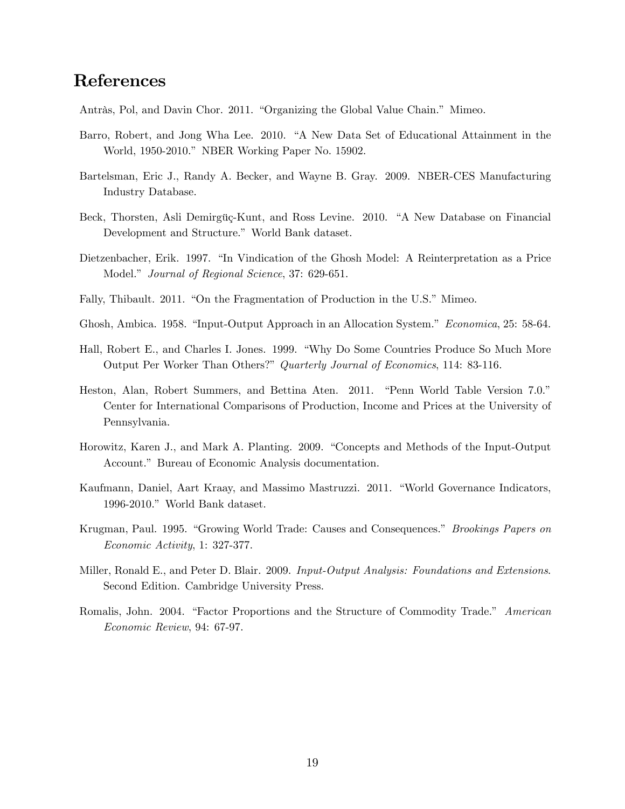# References

Antràs, Pol, and Davin Chor. 2011. "Organizing the Global Value Chain." Mimeo.

- Barro, Robert, and Jong Wha Lee. 2010. "A New Data Set of Educational Attainment in the World, 1950-2010." NBER Working Paper No. 15902.
- Bartelsman, Eric J., Randy A. Becker, and Wayne B. Gray. 2009. NBER-CES Manufacturing Industry Database.
- Beck, Thorsten, Asli Demirgüç-Kunt, and Ross Levine. 2010. "A New Database on Financial Development and Structure." World Bank dataset.
- Dietzenbacher, Erik. 1997. "In Vindication of the Ghosh Model: A Reinterpretation as a Price Model." Journal of Regional Science, 37: 629-651.
- Fally, Thibault. 2011. "On the Fragmentation of Production in the U.S." Mimeo.
- Ghosh, Ambica. 1958. "Input-Output Approach in an Allocation System." Economica, 25: 58-64.
- Hall, Robert E., and Charles I. Jones. 1999. "Why Do Some Countries Produce So Much More Output Per Worker Than Others?" Quarterly Journal of Economics, 114: 83-116.
- Heston, Alan, Robert Summers, and Bettina Aten. 2011. "Penn World Table Version 7.0." Center for International Comparisons of Production, Income and Prices at the University of Pennsylvania.
- Horowitz, Karen J., and Mark A. Planting. 2009. "Concepts and Methods of the Input-Output Account." Bureau of Economic Analysis documentation.
- Kaufmann, Daniel, Aart Kraay, and Massimo Mastruzzi. 2011. "World Governance Indicators, 1996-2010." World Bank dataset.
- Krugman, Paul. 1995. "Growing World Trade: Causes and Consequences." Brookings Papers on Economic Activity, 1: 327-377.
- Miller, Ronald E., and Peter D. Blair. 2009. Input-Output Analysis: Foundations and Extensions. Second Edition. Cambridge University Press.
- Romalis, John. 2004. "Factor Proportions and the Structure of Commodity Trade." American Economic Review, 94: 67-97.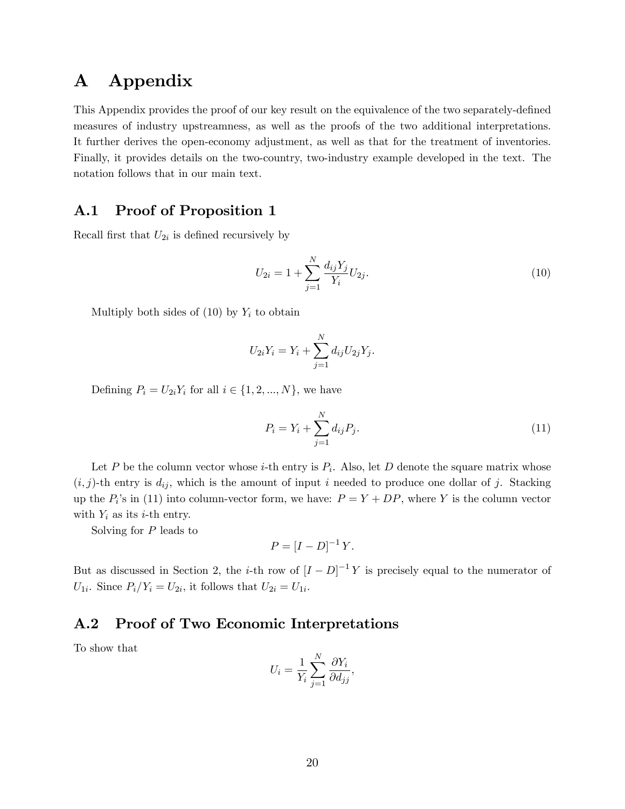# A Appendix

This Appendix provides the proof of our key result on the equivalence of the two separately-defined measures of industry upstreamness, as well as the proofs of the two additional interpretations. It further derives the open-economy adjustment, as well as that for the treatment of inventories. Finally, it provides details on the two-country, two-industry example developed in the text. The notation follows that in our main text.

### A.1 Proof of Proposition 1

Recall first that  $U_{2i}$  is defined recursively by

$$
U_{2i} = 1 + \sum_{j=1}^{N} \frac{d_{ij} Y_j}{Y_i} U_{2j}.
$$
\n(10)

Multiply both sides of  $(10)$  by  $Y_i$  to obtain

$$
U_{2i}Y_i = Y_i + \sum_{j=1}^{N} d_{ij}U_{2j}Y_j.
$$

Defining  $P_i = U_{2i}Y_i$  for all  $i \in \{1, 2, ..., N\}$ , we have

$$
P_i = Y_i + \sum_{j=1}^{N} d_{ij} P_j.
$$
 (11)

Let P be the column vector whose *i*-th entry is  $P_i$ . Also, let D denote the square matrix whose  $(i, j)$ -th entry is  $d_{ij}$ , which is the amount of input i needed to produce one dollar of j. Stacking up the  $P_i$ 's in (11) into column-vector form, we have:  $P = Y + DP$ , where Y is the column vector with  $Y_i$  as its *i*-th entry.

Solving for P leads to

$$
P = [I - D]^{-1} Y.
$$

But as discussed in Section 2, the *i*-th row of  $[I-D]^{-1}Y$  is precisely equal to the numerator of  $U_{1i}$ . Since  $P_i/Y_i = U_{2i}$ , it follows that  $U_{2i} = U_{1i}$ .

### A.2 Proof of Two Economic Interpretations

To show that

$$
U_i = \frac{1}{Y_i} \sum_{j=1}^N \frac{\partial Y_i}{\partial d_{jj}},
$$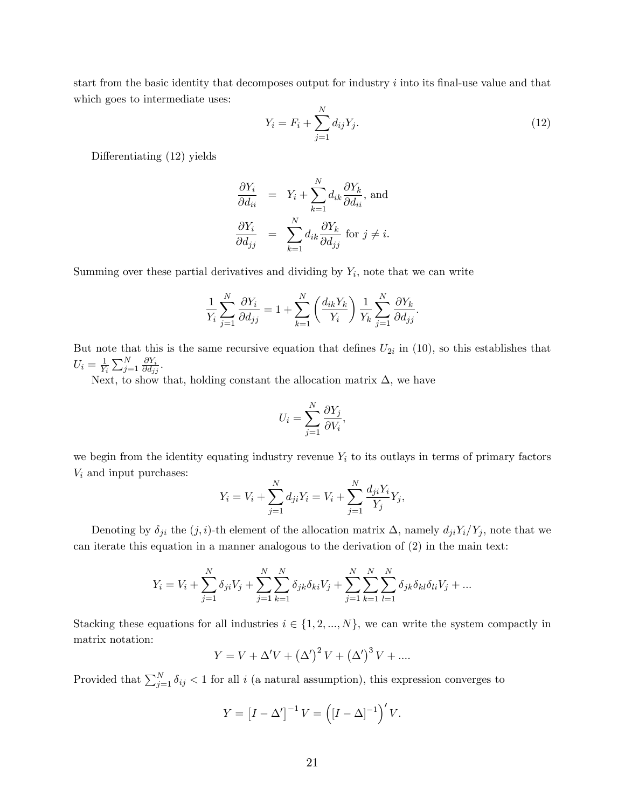start from the basic identity that decomposes output for industry  $i$  into its final-use value and that which goes to intermediate uses:

$$
Y_i = F_i + \sum_{j=1}^{N} d_{ij} Y_j.
$$
 (12)

Differentiating  $(12)$  yields

$$
\frac{\partial Y_i}{\partial d_{ii}} = Y_i + \sum_{k=1}^N d_{ik} \frac{\partial Y_k}{\partial d_{ii}}, \text{ and}
$$

$$
\frac{\partial Y_i}{\partial d_{jj}} = \sum_{k=1}^N d_{ik} \frac{\partial Y_k}{\partial d_{jj}} \text{ for } j \neq i.
$$

Summing over these partial derivatives and dividing by  $Y_i$ , note that we can write

$$
\frac{1}{Y_i} \sum_{j=1}^N \frac{\partial Y_i}{\partial d_{jj}} = 1 + \sum_{k=1}^N \left( \frac{d_{ik} Y_k}{Y_i} \right) \frac{1}{Y_k} \sum_{j=1}^N \frac{\partial Y_k}{\partial d_{jj}}.
$$

But note that this is the same recursive equation that defines  $U_{2i}$  in (10), so this establishes that  $U_i = \frac{1}{Y_i}$  $\frac{1}{Y_i} \sum_{j=1}^N \frac{\partial Y_i}{\partial d_{j_j}}$  $\frac{\partial Y_i}{\partial d_{jj}}.$ 

Next, to show that, holding constant the allocation matrix  $\Delta$ , we have

$$
U_i = \sum_{j=1}^N \frac{\partial Y_j}{\partial V_i},
$$

we begin from the identity equating industry revenue  $Y_i$  to its outlays in terms of primary factors  $V_i$  and input purchases:

$$
Y_i = V_i + \sum_{j=1}^{N} d_{ji} Y_i = V_i + \sum_{j=1}^{N} \frac{d_{ji} Y_i}{Y_j} Y_j,
$$

Denoting by  $\delta_{ji}$  the  $(j, i)$ -th element of the allocation matrix  $\Delta$ , namely  $d_{ji}Y_i/Y_j$ , note that we can iterate this equation in a manner analogous to the derivation of (2) in the main text:

$$
Y_i = V_i + \sum_{j=1}^{N} \delta_{ji} V_j + \sum_{j=1}^{N} \sum_{k=1}^{N} \delta_{jk} \delta_{ki} V_j + \sum_{j=1}^{N} \sum_{k=1}^{N} \sum_{l=1}^{N} \delta_{jk} \delta_{kl} \delta_{li} V_j + \dots
$$

Stacking these equations for all industries  $i \in \{1, 2, ..., N\}$ , we can write the system compactly in matrix notation:

$$
Y = V + \Delta' V + (\Delta')^{2} V + (\Delta')^{3} V + \dots
$$

Provided that  $\sum_{j=1}^{N} \delta_{ij} < 1$  for all i (a natural assumption), this expression converges to

$$
Y = \left[I - \Delta'\right]^{-1} V = \left(\left[I - \Delta\right]^{-1}\right)' V.
$$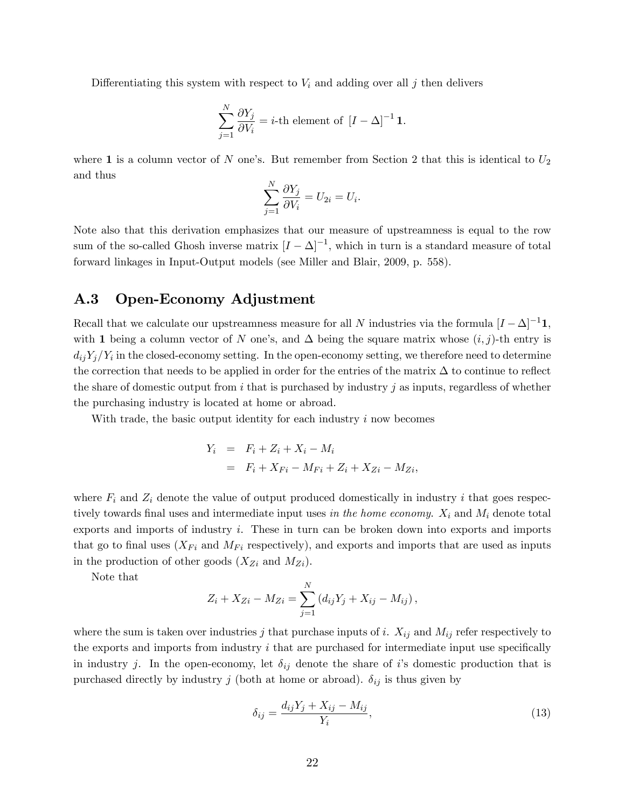Differentiating this system with respect to  $V_i$  and adding over all j then delivers

$$
\sum_{j=1}^{N} \frac{\partial Y_j}{\partial V_i} = i\text{-th element of } [I - \Delta]^{-1} \mathbf{1}.
$$

where 1 is a column vector of N one's. But remember from Section 2 that this is identical to  $U_2$ and thus

$$
\sum_{j=1}^N \frac{\partial Y_j}{\partial V_i} = U_{2i} = U_i.
$$

Note also that this derivation emphasizes that our measure of upstreamness is equal to the row sum of the so-called Ghosh inverse matrix  $[I - \Delta]^{-1}$ , which in turn is a standard measure of total forward linkages in Input-Output models (see Miller and Blair, 2009, p. 558).

### A.3 Open-Economy Adjustment

Recall that we calculate our upstreamness measure for all N industries via the formula  $[I - \Delta]^{-1}$ 1, with 1 being a column vector of N one's, and  $\Delta$  being the square matrix whose  $(i, j)$ -th entry is  $d_{ij}Y_j/Y_i$  in the closed-economy setting. In the open-economy setting, we therefore need to determine the correction that needs to be applied in order for the entries of the matrix  $\Delta$  to continue to reflect the share of domestic output from i that is purchased by industry j as inputs, regardless of whether the purchasing industry is located at home or abroad.

With trade, the basic output identity for each industry  $i$  now becomes

$$
Y_i = F_i + Z_i + X_i - M_i
$$
  
=  $F_i + X_{Fi} - M_{Fi} + Z_i + X_{Zi} - M_{Zi}$ ,

where  $F_i$  and  $Z_i$  denote the value of output produced domestically in industry i that goes respectively towards final uses and intermediate input uses in the home economy.  $X_i$  and  $M_i$  denote total exports and imports of industry i. These in turn can be broken down into exports and imports that go to final uses  $(X_{Fi}$  and  $M_{Fi}$  respectively), and exports and imports that are used as inputs in the production of other goods  $(X_{Z_i}$  and  $M_{Z_i})$ .

Note that

$$
Z_i + X_{Zi} - M_{Zi} = \sum_{j=1}^{N} (d_{ij}Y_j + X_{ij} - M_{ij}),
$$

where the sum is taken over industries j that purchase inputs of i.  $X_{ij}$  and  $M_{ij}$  refer respectively to the exports and imports from industry  $i$  that are purchased for intermediate input use specifically in industry j. In the open-economy, let  $\delta_{ij}$  denote the share of i's domestic production that is purchased directly by industry j (both at home or abroad).  $\delta_{ij}$  is thus given by

$$
\delta_{ij} = \frac{d_{ij}Y_j + X_{ij} - M_{ij}}{Y_i},\tag{13}
$$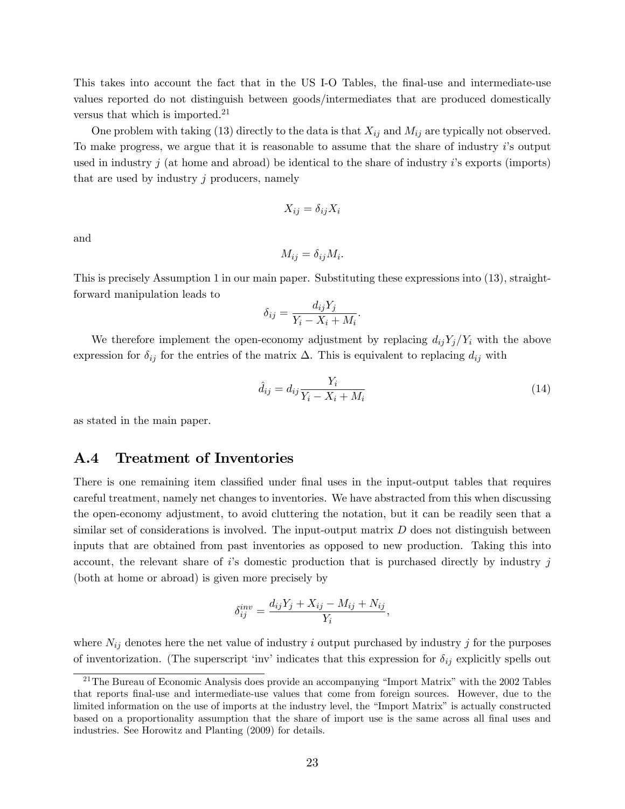This takes into account the fact that in the US I-O Tables, the final-use and intermediate-use values reported do not distinguish between goods/intermediates that are produced domestically versus that which is imported.<sup>21</sup>

One problem with taking (13) directly to the data is that  $X_{ij}$  and  $M_{ij}$  are typically not observed. To make progress, we argue that it is reasonable to assume that the share of industry  $i$ 's output used in industry j (at home and abroad) be identical to the share of industry  $i$ 's exports (imports) that are used by industry  $j$  producers, namely

$$
X_{ij} = \delta_{ij} X_i
$$

and

$$
M_{ij} = \delta_{ij} M_i.
$$

This is precisely Assumption 1 in our main paper. Substituting these expressions into (13), straightforward manipulation leads to

$$
\delta_{ij} = \frac{d_{ij}Y_j}{Y_i - X_i + M_i}.
$$

We therefore implement the open-economy adjustment by replacing  $d_{ij}Y_j/Y_i$  with the above expression for  $\delta_{ij}$  for the entries of the matrix  $\Delta$ . This is equivalent to replacing  $d_{ij}$  with

$$
\hat{d}_{ij} = d_{ij} \frac{Y_i}{Y_i - X_i + M_i} \tag{14}
$$

as stated in the main paper.

### A.4 Treatment of Inventories

There is one remaining item classified under final uses in the input-output tables that requires careful treatment, namely net changes to inventories. We have abstracted from this when discussing the open-economy adjustment, to avoid cluttering the notation, but it can be readily seen that a similar set of considerations is involved. The input-output matrix  $D$  does not distinguish between inputs that are obtained from past inventories as opposed to new production. Taking this into account, the relevant share of is domestic production that is purchased directly by industry  $j$ (both at home or abroad) is given more precisely by

$$
\delta_{ij}^{inv} = \frac{d_{ij}Y_j + X_{ij} - M_{ij} + N_{ij}}{Y_i},
$$

where  $N_{ij}$  denotes here the net value of industry i output purchased by industry j for the purposes of inventorization. (The superscript 'inv' indicates that this expression for  $\delta_{ij}$  explicitly spells out

<sup>&</sup>lt;sup>21</sup>The Bureau of Economic Analysis does provide an accompanying "Import Matrix" with the 2002 Tables that reports Önal-use and intermediate-use values that come from foreign sources. However, due to the limited information on the use of imports at the industry level, the "Import Matrix" is actually constructed based on a proportionality assumption that the share of import use is the same across all final uses and industries. See Horowitz and Planting (2009) for details.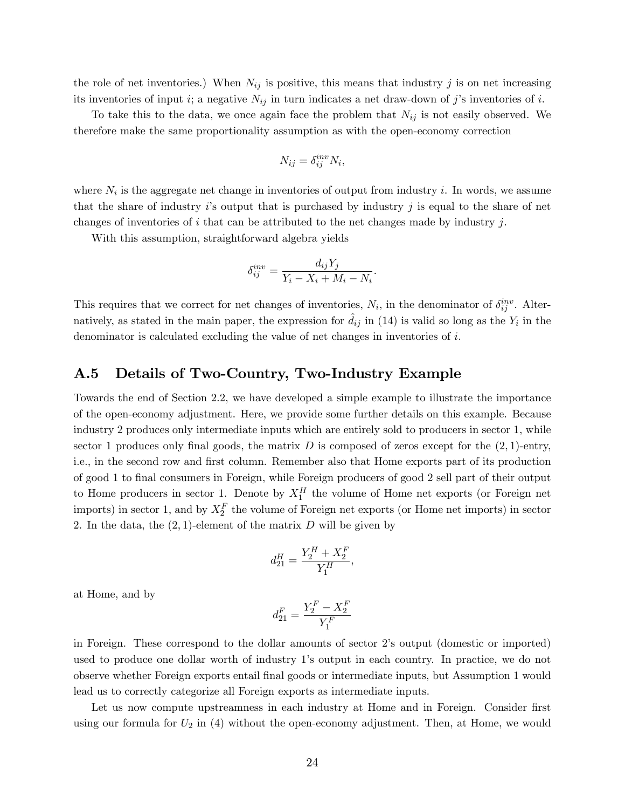the role of net inventories.) When  $N_{ij}$  is positive, this means that industry j is on net increasing its inventories of input i; a negative  $N_{ij}$  in turn indicates a net draw-down of j's inventories of i.

To take this to the data, we once again face the problem that  $N_{ij}$  is not easily observed. We therefore make the same proportionality assumption as with the open-economy correction

$$
N_{ij} = \delta_{ij}^{inv} N_i,
$$

where  $N_i$  is the aggregate net change in inventories of output from industry i. In words, we assume that the share of industry  $i$ 's output that is purchased by industry j is equal to the share of net changes of inventories of i that can be attributed to the net changes made by industry j.

With this assumption, straightforward algebra yields

$$
\delta_{ij}^{inv} = \frac{d_{ij}Y_j}{Y_i - X_i + M_i - N_i}.
$$

This requires that we correct for net changes of inventories,  $N_i$ , in the denominator of  $\delta_{ij}^{inv}$ . Alternatively, as stated in the main paper, the expression for  $\hat{d}_{ij}$  in (14) is valid so long as the  $Y_i$  in the denominator is calculated excluding the value of net changes in inventories of i.

### A.5 Details of Two-Country, Two-Industry Example

Towards the end of Section 2.2, we have developed a simple example to illustrate the importance of the open-economy adjustment. Here, we provide some further details on this example. Because industry 2 produces only intermediate inputs which are entirely sold to producers in sector 1, while sector 1 produces only final goods, the matrix D is composed of zeros except for the  $(2, 1)$ -entry, i.e., in the second row and first column. Remember also that Home exports part of its production of good 1 to final consumers in Foreign, while Foreign producers of good 2 sell part of their output to Home producers in sector 1. Denote by  $X_1^H$  the volume of Home net exports (or Foreign net imports) in sector 1, and by  $X_2^F$  the volume of Foreign net exports (or Home net imports) in sector 2. In the data, the  $(2, 1)$ -element of the matrix D will be given by

$$
d_{21}^H = \frac{Y_2^H + X_2^F}{Y_1^H},
$$

at Home, and by

$$
d_{21}^F = \frac{Y_2^F - X_2^F}{Y_1^F}
$$

in Foreign. These correspond to the dollar amounts of sector 2ís output (domestic or imported) used to produce one dollar worth of industry 1ís output in each country. In practice, we do not observe whether Foreign exports entail Önal goods or intermediate inputs, but Assumption 1 would lead us to correctly categorize all Foreign exports as intermediate inputs.

Let us now compute upstreamness in each industry at Home and in Foreign. Consider first using our formula for  $U_2$  in (4) without the open-economy adjustment. Then, at Home, we would